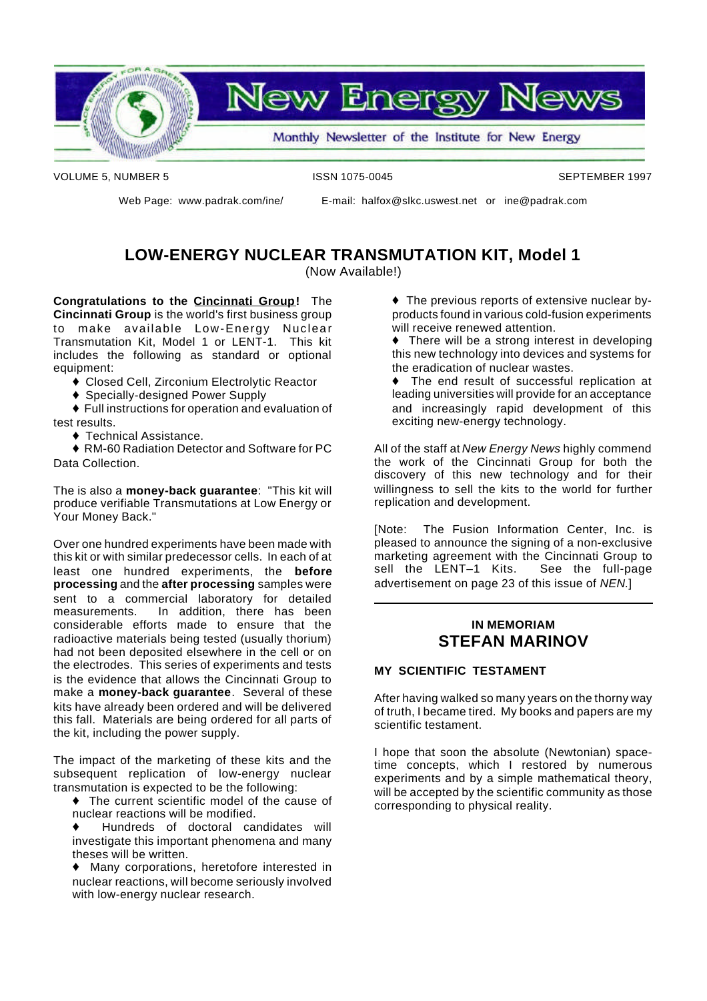

VOLUME 5, NUMBER 5 **ISSN 1075-0045** ISSN 1075-0045

Web Page: www.padrak.com/ine/ E-mail: halfox@slkc.uswest.net or ine@padrak.com

### **LOW-ENERGY NUCLEAR TRANSMUTATION KIT, Model 1**

(Now Available!)

**Congratulations to the Cincinnati Group!** The **Cincinnati Group** is the world's first business group to make available Low-Energy Nuclear Transmutation Kit, Model 1 or LENT-1. This kit includes the following as standard or optional equipment:

- ◆ Closed Cell, Zirconium Electrolytic Reactor
- ◆ Specially-designed Power Supply
- $\blacklozenge$  Full instructions for operation and evaluation of test results.
	- $\triangle$  Technical Assistance.

♦ RM-60 Radiation Detector and Software for PC Data Collection.

The is also a **money-back guarantee**: "This kit will produce verifiable Transmutations at Low Energy or Your Money Back."

Over one hundred experiments have been made with this kit or with similar predecessor cells. In each of at least one hundred experiments, the **before processing** and the **after processing** samples were sent to a commercial laboratory for detailed measurements. In addition, there has been considerable efforts made to ensure that the radioactive materials being tested (usually thorium) had not been deposited elsewhere in the cell or on the electrodes. This series of experiments and tests is the evidence that allows the Cincinnati Group to make a **money-back guarantee**. Several of these kits have already been ordered and will be delivered this fall. Materials are being ordered for all parts of the kit, including the power supply.

The impact of the marketing of these kits and the subsequent replication of low-energy nuclear transmutation is expected to be the following:

 $\bullet$  The current scientific model of the cause of nuclear reactions will be modified.

Hundreds of doctoral candidates will investigate this important phenomena and many theses will be written.

U Many corporations, heretofore interested in nuclear reactions, will become seriously involved with low-energy nuclear research.

 $\triangle$  The previous reports of extensive nuclear byproducts found in various cold-fusion experiments will receive renewed attention.

 $\bullet$  There will be a strong interest in developing this new technology into devices and systems for the eradication of nuclear wastes.

 $\bullet$  The end result of successful replication at leading universities will provide for an acceptance and increasingly rapid development of this exciting new-energy technology.

All of the staff at *New Energy News* highly commend the work of the Cincinnati Group for both the discovery of this new technology and for their willingness to sell the kits to the world for further replication and development.

[Note: The Fusion Information Center, Inc. is pleased to announce the signing of a non-exclusive marketing agreement with the Cincinnati Group to sell the LENT–1 Kits. See the full-page advertisement on page 23 of this issue of *NEN.*]

#### **IN MEMORIAM STEFAN MARINOV**

#### **MY SCIENTIFIC TESTAMENT**

After having walked so many years on the thorny way of truth, I became tired. My books and papers are my scientific testament.

I hope that soon the absolute (Newtonian) spacetime concepts, which I restored by numerous experiments and by a simple mathematical theory, will be accepted by the scientific community as those corresponding to physical reality.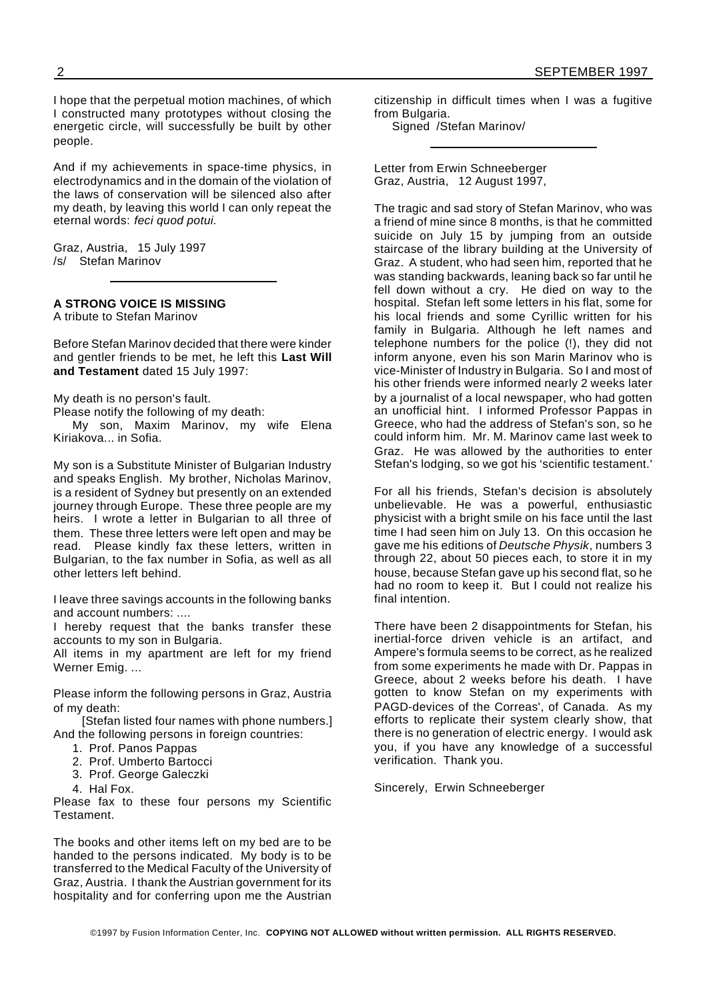I hope that the perpetual motion machines, of which I constructed many prototypes without closing the energetic circle, will successfully be built by other people.

And if my achievements in space-time physics, in electrodynamics and in the domain of the violation of the laws of conservation will be silenced also after my death, by leaving this world I can only repeat the eternal words: *feci quod potui.*

Graz, Austria, 15 July 1997 /s/ Stefan Marinov

#### **A STRONG VOICE IS MISSING**

A tribute to Stefan Marinov

Before Stefan Marinov decided that there were kinder and gentler friends to be met, he left this **Last Will and Testament** dated 15 July 1997:

My death is no person's fault.

Please notify the following of my death:

My son, Maxim Marinov, my wife Elena Kiriakova... in Sofia.

My son is a Substitute Minister of Bulgarian Industry and speaks English. My brother, Nicholas Marinov, is a resident of Sydney but presently on an extended journey through Europe. These three people are my heirs. I wrote a letter in Bulgarian to all three of them. These three letters were left open and may be read. Please kindly fax these letters, written in Bulgarian, to the fax number in Sofia, as well as all other letters left behind.

I leave three savings accounts in the following banks and account numbers: ....

I hereby request that the banks transfer these accounts to my son in Bulgaria.

All items in my apartment are left for my friend Werner Emig. ...

Please inform the following persons in Graz, Austria of my death:

[Stefan listed four names with phone numbers.] And the following persons in foreign countries:

- 1. Prof. Panos Pappas
- 2. Prof. Umberto Bartocci
- 3. Prof. George Galeczki
- 4. Hal Fox.

Please fax to these four persons my Scientific **Testament** 

The books and other items left on my bed are to be handed to the persons indicated. My body is to be transferred to the Medical Faculty of the University of Graz, Austria. I thank the Austrian government for its hospitality and for conferring upon me the Austrian

citizenship in difficult times when I was a fugitive from Bulgaria.

Signed /Stefan Marinov/

Letter from Erwin Schneeberger Graz, Austria, 12 August 1997,

The tragic and sad story of Stefan Marinov, who was a friend of mine since 8 months, is that he committed suicide on July 15 by jumping from an outside staircase of the library building at the University of Graz. A student, who had seen him, reported that he was standing backwards, leaning back so far until he fell down without a cry. He died on way to the hospital. Stefan left some letters in his flat, some for his local friends and some Cyrillic written for his family in Bulgaria. Although he left names and telephone numbers for the police (!), they did not inform anyone, even his son Marin Marinov who is vice-Minister of Industry in Bulgaria. So I and most of his other friends were informed nearly 2 weeks later by a journalist of a local newspaper, who had gotten an unofficial hint. I informed Professor Pappas in Greece, who had the address of Stefan's son, so he could inform him. Mr. M. Marinov came last week to Graz. He was allowed by the authorities to enter Stefan's lodging, so we got his 'scientific testament.'

For all his friends, Stefan's decision is absolutely unbelievable. He was a powerful, enthusiastic physicist with a bright smile on his face until the last time I had seen him on July 13. On this occasion he gave me his editions of *Deutsche Physik*, numbers 3 through 22, about 50 pieces each, to store it in my house, because Stefan gave up his second flat, so he had no room to keep it. But I could not realize his final intention.

There have been 2 disappointments for Stefan, his inertial-force driven vehicle is an artifact, and Ampere's formula seems to be correct, as he realized from some experiments he made with Dr. Pappas in Greece, about 2 weeks before his death. I have gotten to know Stefan on my experiments with PAGD-devices of the Correas', of Canada. As my efforts to replicate their system clearly show, that there is no generation of electric energy. I would ask you, if you have any knowledge of a successful verification. Thank you.

Sincerely, Erwin Schneeberger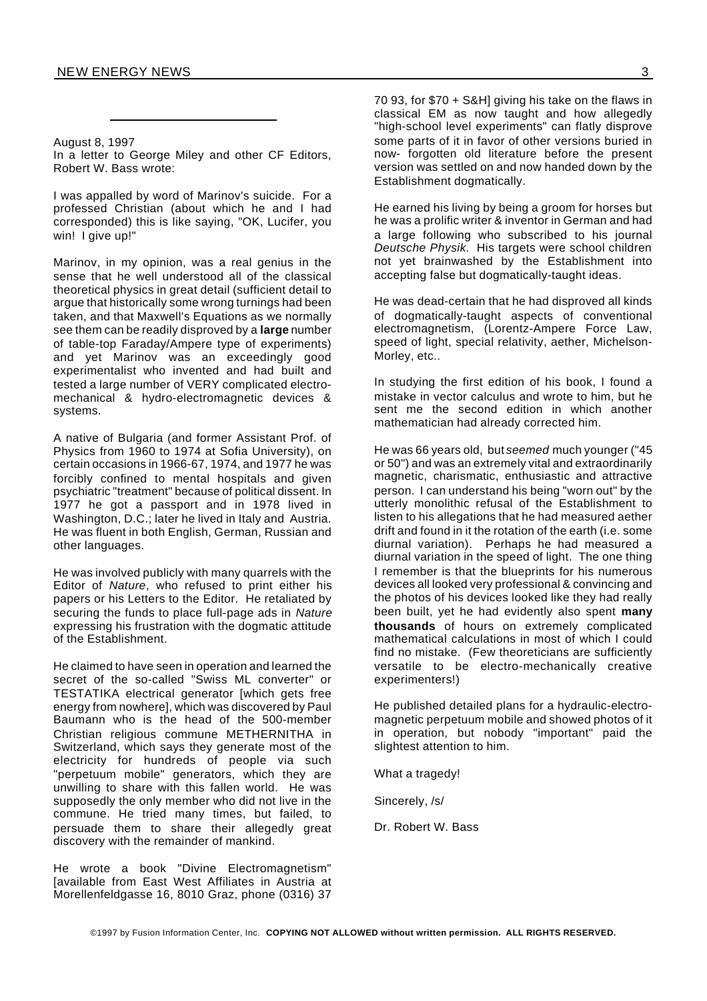#### August 8, 1997

In a letter to George Miley and other CF Editors, Robert W. Bass wrote:

I was appalled by word of Marinov's suicide. For a professed Christian (about which he and I had corresponded) this is like saying, "OK, Lucifer, you win! I give up!"

Marinov, in my opinion, was a real genius in the sense that he well understood all of the classical theoretical physics in great detail (sufficient detail to argue that historically some wrong turnings had been taken, and that Maxwell's Equations as we normally see them can be readily disproved by a **large** number of table-top Faraday/Ampere type of experiments) and yet Marinov was an exceedingly good experimentalist who invented and had built and tested a large number of VERY complicated electromechanical & hydro-electromagnetic devices & systems.

A native of Bulgaria (and former Assistant Prof. of Physics from 1960 to 1974 at Sofia University), on certain occasions in 1966-67, 1974, and 1977 he was forcibly confined to mental hospitals and given psychiatric "treatment" because of political dissent. In 1977 he got a passport and in 1978 lived in Washington, D.C.; later he lived in Italy and Austria. He was fluent in both English, German, Russian and other languages.

He was involved publicly with many quarrels with the Editor of *Nature*, who refused to print either his papers or his Letters to the Editor. He retaliated by securing the funds to place full-page ads in *Nature* expressing his frustration with the dogmatic attitude of the Establishment.

He claimed to have seen in operation and learned the secret of the so-called "Swiss ML converter" or TESTATIKA electrical generator [which gets free energy from nowhere], which was discovered by Paul Baumann who is the head of the 500-member Christian religious commune METHERNITHA in Switzerland, which says they generate most of the electricity for hundreds of people via such "perpetuum mobile" generators, which they are unwilling to share with this fallen world. He was supposedly the only member who did not live in the commune. He tried many times, but failed, to persuade them to share their allegedly great discovery with the remainder of mankind.

He wrote a book "Divine Electromagnetism" [available from East West Affiliates in Austria at Morellenfeldgasse 16, 8010 Graz, phone (0316) 37

70 93, for \$70 + S&H] giving his take on the flaws in classical EM as now taught and how allegedly "high-school level experiments" can flatly disprove some parts of it in favor of other versions buried in now- forgotten old literature before the present version was settled on and now handed down by the Establishment dogmatically.

He earned his living by being a groom for horses but he was a prolific writer & inventor in German and had a large following who subscribed to his journal *Deutsche Physik*. His targets were school children not yet brainwashed by the Establishment into accepting false but dogmatically-taught ideas.

He was dead-certain that he had disproved all kinds of dogmatically-taught aspects of conventional electromagnetism, (Lorentz-Ampere Force Law, speed of light, special relativity, aether, Michelson-Morley, etc..

In studying the first edition of his book, I found a mistake in vector calculus and wrote to him, but he sent me the second edition in which another mathematician had already corrected him.

He was 66 years old, but *seemed* much younger ("45 or 50") and was an extremely vital and extraordinarily magnetic, charismatic, enthusiastic and attractive person. I can understand his being "worn out" by the utterly monolithic refusal of the Establishment to listen to his allegations that he had measured aether drift and found in it the rotation of the earth (i.e. some diurnal variation). Perhaps he had measured a diurnal variation in the speed of light. The one thing I remember is that the blueprints for his numerous devices all looked very professional & convincing and the photos of his devices looked like they had really been built, yet he had evidently also spent **many thousands** of hours on extremely complicated mathematical calculations in most of which I could find no mistake. (Few theoreticians are sufficiently versatile to be electro-mechanically creative experimenters!)

He published detailed plans for a hydraulic-electromagnetic perpetuum mobile and showed photos of it in operation, but nobody "important" paid the slightest attention to him.

What a tragedy!

Sincerely, /s/

Dr. Robert W. Bass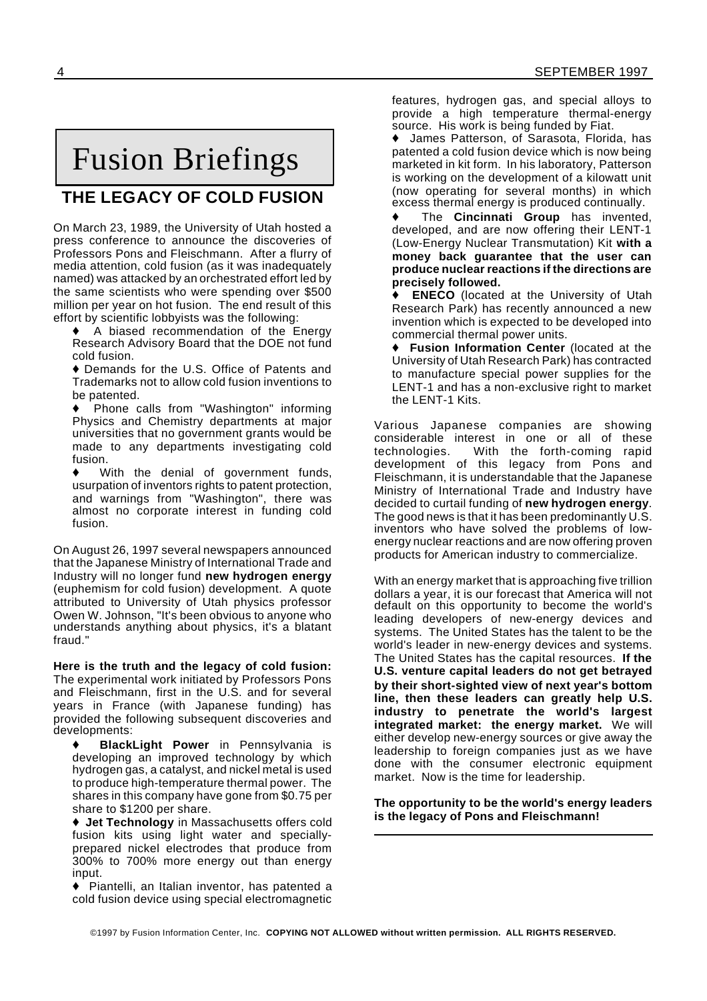## Fusion Briefings

### **THE LEGACY OF COLD FUSION**

On March 23, 1989, the University of Utah hosted a press conference to announce the discoveries of Professors Pons and Fleischmann. After a flurry of media attention, cold fusion (as it was inadequately named) was attacked by an orchestrated effort led by the same scientists who were spending over \$500 million per year on hot fusion. The end result of this effort by scientific lobbyists was the following:

A biased recommendation of the Energy Research Advisory Board that the DOE not fund cold fusion.

♦ Demands for the U.S. Office of Patents and Trademarks not to allow cold fusion inventions to be patented.

U Phone calls from "Washington" informing Physics and Chemistry departments at major universities that no government grants would be made to any departments investigating cold fusion.

With the denial of government funds, usurpation of inventors rights to patent protection, and warnings from "Washington", there was almost no corporate interest in funding cold fusion.

On August 26, 1997 several newspapers announced that the Japanese Ministry of International Trade and Industry will no longer fund **new hydrogen energy** (euphemism for cold fusion) development. A quote attributed to University of Utah physics professor Owen W. Johnson, "It's been obvious to anyone who understands anything about physics, it's a blatant fraud."

**Here is the truth and the legacy of cold fusion:** The experimental work initiated by Professors Pons and Fleischmann, first in the U.S. and for several years in France (with Japanese funding) has provided the following subsequent discoveries and developments:

**BlackLight Power** in Pennsylvania is developing an improved technology by which hydrogen gas, a catalyst, and nickel metal is used to produce high-temperature thermal power. The shares in this company have gone from \$0.75 per share to \$1200 per share.

◆ Jet Technology in Massachusetts offers cold fusion kits using light water and speciallyprepared nickel electrodes that produce from 300% to 700% more energy out than energy input.

 $\blacklozenge$  Piantelli, an Italian inventor, has patented a cold fusion device using special electromagnetic

features, hydrogen gas, and special alloys to provide a high temperature thermal-energy source. His work is being funded by Fiat.

James Patterson, of Sarasota, Florida, has patented a cold fusion device which is now being marketed in kit form. In his laboratory, Patterson is working on the development of a kilowatt unit (now operating for several months) in which excess thermal energy is produced continually.

The **Cincinnati Group** has invented, developed, and are now offering their LENT-1 (Low-Energy Nuclear Transmutation) Kit **with a money back guarantee that the user can produce nuclear reactions if the directions are precisely followed.**

**ENECO** (located at the University of Utah Research Park) has recently announced a new invention which is expected to be developed into commercial thermal power units.

U **Fusion Information Center** (located at the University of Utah Research Park) has contracted to manufacture special power supplies for the LENT-1 and has a non-exclusive right to market the LENT-1 Kits.

Various Japanese companies are showing considerable interest in one or all of these technologies. With the forth-coming rapid development of this legacy from Pons and Fleischmann, it is understandable that the Japanese Ministry of International Trade and Industry have decided to curtail funding of **new hydrogen energy**. The good news is that it has been predominantly U.S. inventors who have solved the problems of lowenergy nuclear reactions and are now offering proven products for American industry to commercialize.

With an energy market that is approaching five trillion dollars a year, it is our forecast that America will not default on this opportunity to become the world's leading developers of new-energy devices and systems. The United States has the talent to be the world's leader in new-energy devices and systems. The United States has the capital resources. **If the U.S. venture capital leaders do not get betrayed by their short-sighted view of next year's bottom line, then these leaders can greatly help U.S. industry to penetrate the world's largest integrated market: the energy market.** We will either develop new-energy sources or give away the leadership to foreign companies just as we have done with the consumer electronic equipment market. Now is the time for leadership.

**The opportunity to be the world's energy leaders is the legacy of Pons and Fleischmann!**

©1997 by Fusion Information Center, Inc. **COPYING NOT ALLOWED without written permission. ALL RIGHTS RESERVED.**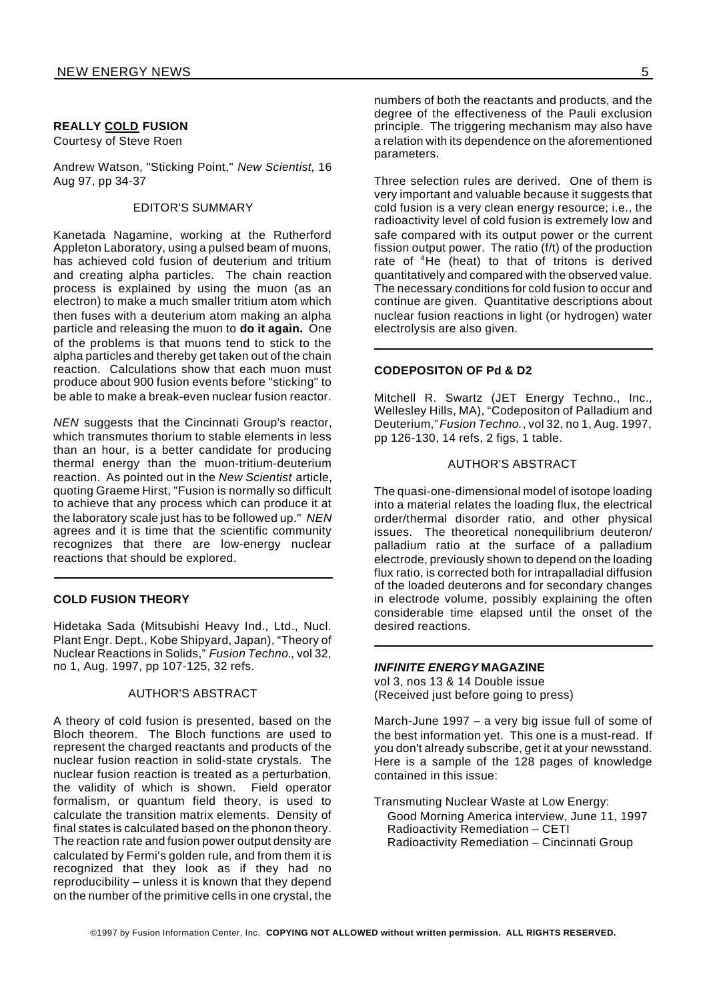#### **REALLY COLD FUSION**

Courtesy of Steve Roen

Andrew Watson, "Sticking Point," *New Scientist,* 16 Aug 97, pp 34-37

#### EDITOR'S SUMMARY

Kanetada Nagamine, working at the Rutherford Appleton Laboratory, using a pulsed beam of muons, has achieved cold fusion of deuterium and tritium and creating alpha particles. The chain reaction process is explained by using the muon (as an electron) to make a much smaller tritium atom which then fuses with a deuterium atom making an alpha particle and releasing the muon to **do it again.** One of the problems is that muons tend to stick to the alpha particles and thereby get taken out of the chain reaction. Calculations show that each muon must produce about 900 fusion events before "sticking" to be able to make a break-even nuclear fusion reactor.

*NEN* suggests that the Cincinnati Group's reactor, which transmutes thorium to stable elements in less than an hour, is a better candidate for producing thermal energy than the muon-tritium-deuterium reaction. As pointed out in the *New Scientist* article, quoting Graeme Hirst, "Fusion is normally so difficult to achieve that any process which can produce it at the laboratory scale just has to be followed up." *NEN* agrees and it is time that the scientific community recognizes that there are low-energy nuclear reactions that should be explored.

#### **COLD FUSION THEORY**

Hidetaka Sada (Mitsubishi Heavy Ind., Ltd., Nucl. Plant Engr. Dept., Kobe Shipyard, Japan), "Theory of Nuclear Reactions in Solids," *Fusion Techno.*, vol 32, no 1, Aug. 1997, pp 107-125, 32 refs.

#### AUTHOR'S ABSTRACT

A theory of cold fusion is presented, based on the Bloch theorem. The Bloch functions are used to represent the charged reactants and products of the nuclear fusion reaction in solid-state crystals. The nuclear fusion reaction is treated as a perturbation, the validity of which is shown. Field operator formalism, or quantum field theory, is used to calculate the transition matrix elements. Density of final states is calculated based on the phonon theory. The reaction rate and fusion power output density are calculated by Fermi's golden rule, and from them it is recognized that they look as if they had no reproducibility – unless it is known that they depend on the number of the primitive cells in one crystal, the

numbers of both the reactants and products, and the degree of the effectiveness of the Pauli exclusion principle. The triggering mechanism may also have a relation with its dependence on the aforementioned parameters.

Three selection rules are derived. One of them is very important and valuable because it suggests that cold fusion is a very clean energy resource; i.e., the radioactivity level of cold fusion is extremely low and safe compared with its output power or the current fission output power. The ratio (f/t) of the production rate of <sup>4</sup>He (heat) to that of tritons is derived quantitatively and compared with the observed value. The necessary conditions for cold fusion to occur and continue are given. Quantitative descriptions about nuclear fusion reactions in light (or hydrogen) water electrolysis are also given.

#### **CODEPOSITON OF Pd & D2**

Mitchell R. Swartz (JET Energy Techno., Inc., Wellesley Hills, MA), "Codepositon of Palladium and Deuterium,"*Fusion Techno.*, vol 32, no 1, Aug. 1997, pp 126-130, 14 refs, 2 figs, 1 table.

#### AUTHOR'S ABSTRACT

The quasi-one-dimensional model of isotope loading into a material relates the loading flux, the electrical order/thermal disorder ratio, and other physical issues. The theoretical nonequilibrium deuteron/ palladium ratio at the surface of a palladium electrode, previously shown to depend on the loading flux ratio, is corrected both for intrapalladial diffusion of the loaded deuterons and for secondary changes in electrode volume, possibly explaining the often considerable time elapsed until the onset of the desired reactions.

#### *INFINITE ENERGY* **MAGAZINE**

vol 3, nos 13 & 14 Double issue (Received just before going to press)

March-June 1997 – a very big issue full of some of the best information yet. This one is a must-read. If you don't already subscribe, get it at your newsstand. Here is a sample of the 128 pages of knowledge contained in this issue:

Transmuting Nuclear Waste at Low Energy: Good Morning America interview, June 11, 1997 Radioactivity Remediation – CETI Radioactivity Remediation – Cincinnati Group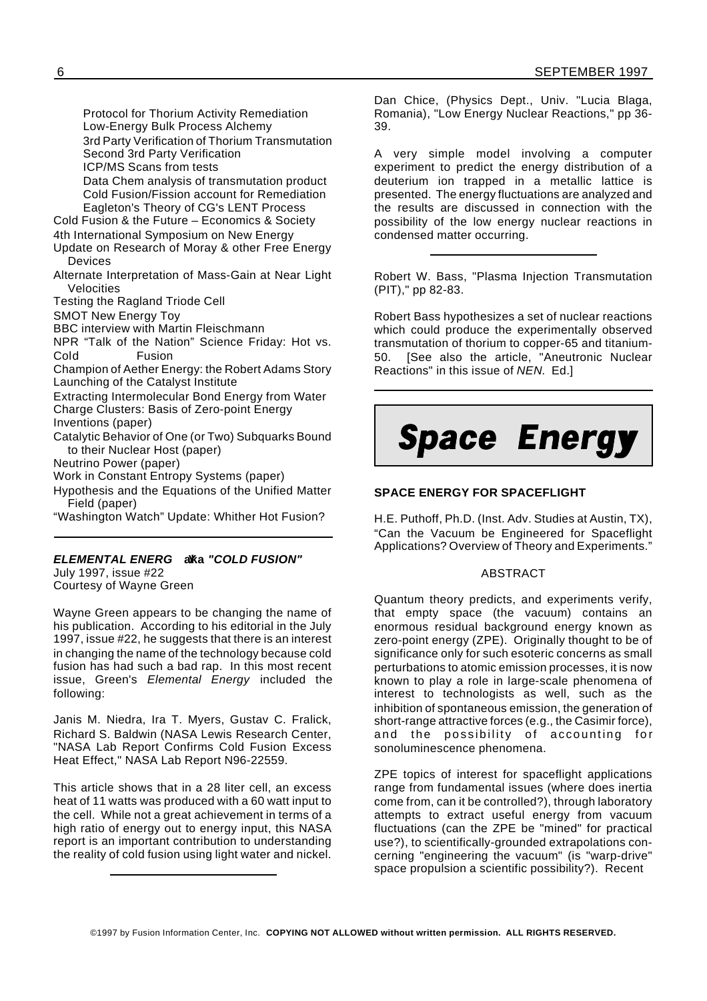Protocol for Thorium Activity Remediation Low-Energy Bulk Process Alchemy 3rd Party Verification of Thorium Transmutation Second 3rd Party Verification ICP/MS Scans from tests

Data Chem analysis of transmutation product Cold Fusion/Fission account for Remediation Eagleton's Theory of CG's LENT Process

Cold Fusion & the Future – Economics & Society 4th International Symposium on New Energy

Update on Research of Moray & other Free Energy Devices

Alternate Interpretation of Mass-Gain at Near Light Velocities

Testing the Ragland Triode Cell

SMOT New Energy Toy

BBC interview with Martin Fleischmann

NPR "Talk of the Nation" Science Friday: Hot vs. Cold Fusion

Champion of Aether Energy: the Robert Adams Story Launching of the Catalyst Institute

Extracting Intermolecular Bond Energy from Water Charge Clusters: Basis of Zero-point Energy Inventions (paper)

Catalytic Behavior of One (or Two) Subquarks Bound to their Nuclear Host (paper)

Neutrino Power (paper)

Work in Constant Entropy Systems (paper)

Hypothesis and the Equations of the Unified Matter Field (paper)

"Washington Watch" Update: Whither Hot Fusion?

#### *ELEMENTAL ENERG* **aka** *Y "COLD FUSION"*

July 1997, issue #22 Courtesy of Wayne Green

Wayne Green appears to be changing the name of his publication. According to his editorial in the July 1997, issue #22, he suggests that there is an interest in changing the name of the technology because cold fusion has had such a bad rap. In this most recent issue, Green's *Elemental Energy* included the following:

Janis M. Niedra, Ira T. Myers, Gustav C. Fralick, Richard S. Baldwin (NASA Lewis Research Center, "NASA Lab Report Confirms Cold Fusion Excess Heat Effect," NASA Lab Report N96-22559.

This article shows that in a 28 liter cell, an excess heat of 11 watts was produced with a 60 watt input to the cell. While not a great achievement in terms of a high ratio of energy out to energy input, this NASA report is an important contribution to understanding the reality of cold fusion using light water and nickel.

Dan Chice, (Physics Dept., Univ. "Lucia Blaga, Romania), "Low Energy Nuclear Reactions," pp 36- 39.

A very simple model involving a computer experiment to predict the energy distribution of a deuterium ion trapped in a metallic lattice is presented. The energy fluctuations are analyzed and the results are discussed in connection with the possibility of the low energy nuclear reactions in condensed matter occurring.

Robert W. Bass, "Plasma Injection Transmutation (PIT)," pp 82-83.

Robert Bass hypothesizes a set of nuclear reactions which could produce the experimentally observed transmutation of thorium to copper-65 and titanium-50. [See also the article, "Aneutronic Nuclear Reactions" in this issue of *NEN*. Ed.]



#### **SPACE ENERGY FOR SPACEFLIGHT**

H.E. Puthoff, Ph.D. (Inst. Adv. Studies at Austin, TX), "Can the Vacuum be Engineered for Spaceflight Applications? Overview of Theory and Experiments."

#### ABSTRACT

Quantum theory predicts, and experiments verify, that empty space (the vacuum) contains an enormous residual background energy known as zero-point energy (ZPE). Originally thought to be of significance only for such esoteric concerns as small perturbations to atomic emission processes, it is now known to play a role in large-scale phenomena of interest to technologists as well, such as the inhibition of spontaneous emission, the generation of short-range attractive forces (e.g., the Casimir force), and the possibility of accounting for sonoluminescence phenomena.

ZPE topics of interest for spaceflight applications range from fundamental issues (where does inertia come from, can it be controlled?), through laboratory attempts to extract useful energy from vacuum fluctuations (can the ZPE be "mined" for practical use?), to scientifically-grounded extrapolations concerning "engineering the vacuum" (is "warp-drive" space propulsion a scientific possibility?). Recent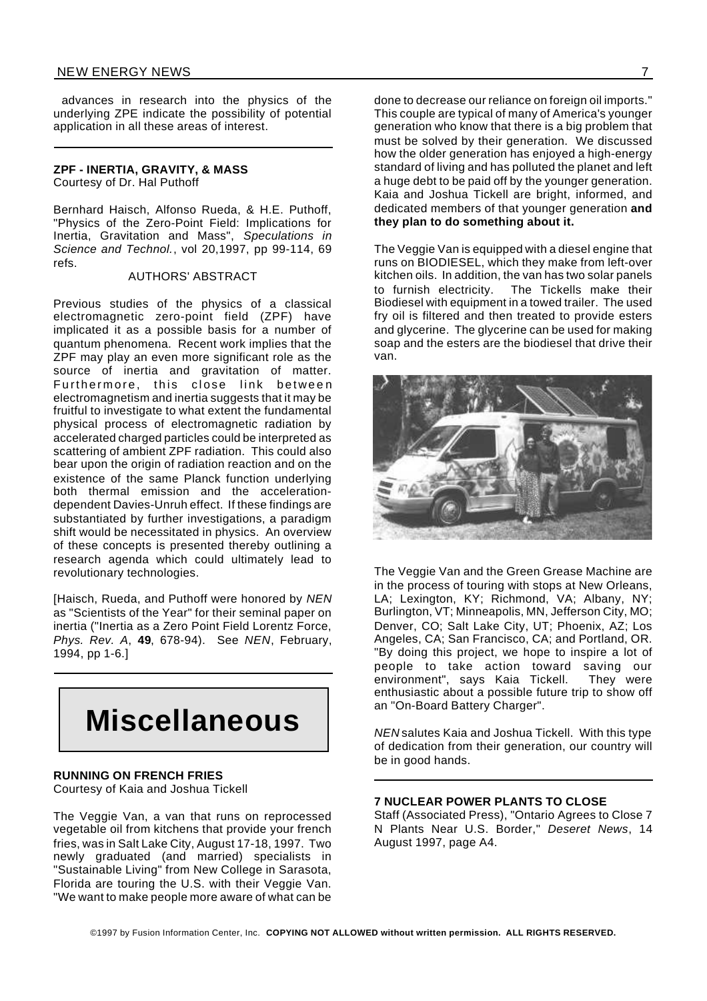advances in research into the physics of the underlying ZPE indicate the possibility of potential application in all these areas of interest.

#### **ZPF - INERTIA, GRAVITY, & MASS** Courtesy of Dr. Hal Puthoff

Bernhard Haisch, Alfonso Rueda, & H.E. Puthoff, "Physics of the Zero-Point Field: Implications for Inertia, Gravitation and Mass", *Speculations in Science and Technol.*, vol 20,1997, pp 99-114, 69 refs.

#### AUTHORS' ABSTRACT

Previous studies of the physics of a classical electromagnetic zero-point field (ZPF) have implicated it as a possible basis for a number of quantum phenomena. Recent work implies that the ZPF may play an even more significant role as the source of inertia and gravitation of matter. Furthermore, this close link between electromagnetism and inertia suggests that it may be fruitful to investigate to what extent the fundamental physical process of electromagnetic radiation by accelerated charged particles could be interpreted as scattering of ambient ZPF radiation. This could also bear upon the origin of radiation reaction and on the existence of the same Planck function underlying both thermal emission and the accelerationdependent Davies-Unruh effect. If these findings are substantiated by further investigations, a paradigm shift would be necessitated in physics. An overview of these concepts is presented thereby outlining a research agenda which could ultimately lead to revolutionary technologies.

[Haisch, Rueda, and Puthoff were honored by *NEN* as "Scientists of the Year" for their seminal paper on inertia ("Inertia as a Zero Point Field Lorentz Force, *Phys. Rev. A*, **49**, 678-94). See *NEN*, February, 1994, pp 1-6.]

# **Miscellaneous**

#### **RUNNING ON FRENCH FRIES**

Courtesy of Kaia and Joshua Tickell

The Veggie Van, a van that runs on reprocessed vegetable oil from kitchens that provide your french fries, was in Salt Lake City, August 17-18, 1997. Two newly graduated (and married) specialists in "Sustainable Living" from New College in Sarasota, Florida are touring the U.S. with their Veggie Van. "We want to make people more aware of what can be

done to decrease our reliance on foreign oil imports." This couple are typical of many of America's younger generation who know that there is a big problem that must be solved by their generation. We discussed how the older generation has enjoyed a high-energy standard of living and has polluted the planet and left a huge debt to be paid off by the younger generation. Kaia and Joshua Tickell are bright, informed, and dedicated members of that younger generation **and they plan to do something about it.**

The Veggie Van is equipped with a diesel engine that runs on BIODIESEL, which they make from left-over kitchen oils. In addition, the van has two solar panels to furnish electricity. The Tickells make their Biodiesel with equipment in a towed trailer. The used fry oil is filtered and then treated to provide esters and glycerine. The glycerine can be used for making soap and the esters are the biodiesel that drive their van.



The Veggie Van and the Green Grease Machine are in the process of touring with stops at New Orleans, LA; Lexington, KY; Richmond, VA; Albany, NY; Burlington, VT; Minneapolis, MN, Jefferson City, MO; Denver, CO; Salt Lake City, UT; Phoenix, AZ; Los Angeles, CA; San Francisco, CA; and Portland, OR. "By doing this project, we hope to inspire a lot of people to take action toward saving our environment", says Kaia Tickell. They were enthusiastic about a possible future trip to show off an "On-Board Battery Charger".

*NEN* salutes Kaia and Joshua Tickell. With this type of dedication from their generation, our country will be in good hands.

#### **7 NUCLEAR POWER PLANTS TO CLOSE**

Staff (Associated Press), "Ontario Agrees to Close 7 N Plants Near U.S. Border," *Deseret News*, 14 August 1997, page A4.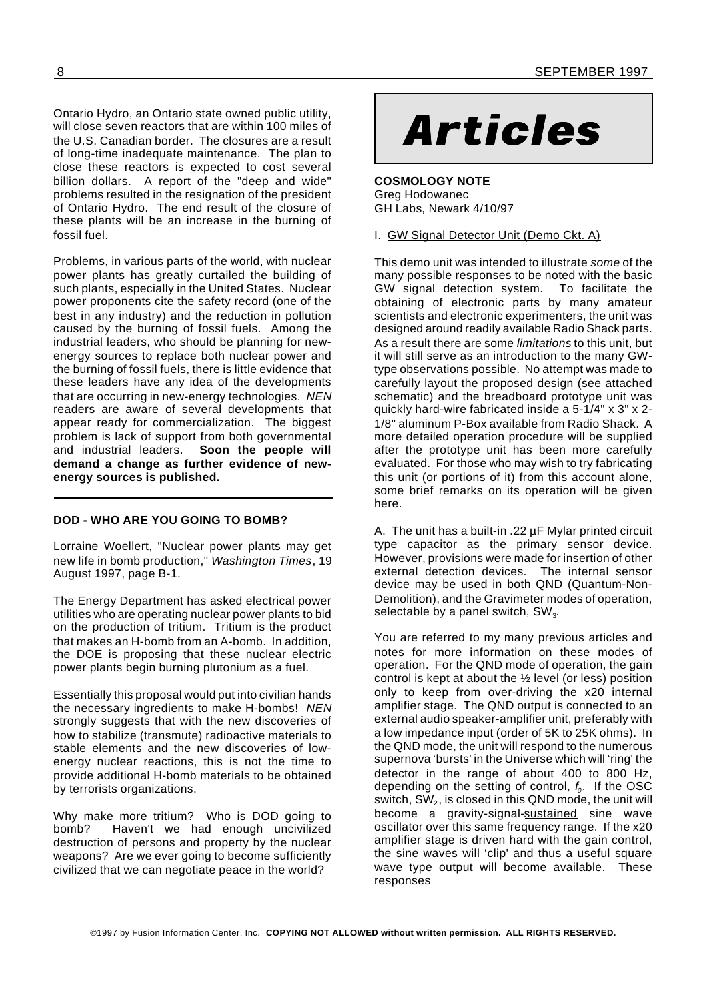Ontario Hydro, an Ontario state owned public utility,<br>will close seven reactors that are within 100 miles of<br>the U.S. Canadian border. The closures are a result will close seven reactors that are within 100 miles of the U.S. Canadian border. The closures are a result of long-time inadequate maintenance. The plan to close these reactors is expected to cost several billion dollars. A report of the "deep and wide" problems resulted in the resignation of the president of Ontario Hydro. The end result of the closure of these plants will be an increase in the burning of fossil fuel.

Problems, in various parts of the world, with nuclear power plants has greatly curtailed the building of such plants, especially in the United States. Nuclear power proponents cite the safety record (one of the best in any industry) and the reduction in pollution caused by the burning of fossil fuels. Among the industrial leaders, who should be planning for newenergy sources to replace both nuclear power and the burning of fossil fuels, there is little evidence that these leaders have any idea of the developments that are occurring in new-energy technologies. *NEN* readers are aware of several developments that appear ready for commercialization. The biggest problem is lack of support from both governmental and industrial leaders. **Soon the people will demand a change as further evidence of newenergy sources is published.**

#### **DOD - WHO ARE YOU GOING TO BOMB?**

Lorraine Woellert, "Nuclear power plants may get new life in bomb production," *Washington Times*, 19 August 1997, page B-1.

The Energy Department has asked electrical power utilities who are operating nuclear power plants to bid on the production of tritium. Tritium is the product that makes an H-bomb from an A-bomb. In addition, the DOE is proposing that these nuclear electric power plants begin burning plutonium as a fuel.

Essentially this proposal would put into civilian hands the necessary ingredients to make H-bombs! *NEN* strongly suggests that with the new discoveries of how to stabilize (transmute) radioactive materials to stable elements and the new discoveries of lowenergy nuclear reactions, this is not the time to provide additional H-bomb materials to be obtained by terrorists organizations.

Why make more tritium? Who is DOD going to bomb? Haven't we had enough uncivilized destruction of persons and property by the nuclear weapons? Are we ever going to become sufficiently civilized that we can negotiate peace in the world?

**COSMOLOGY NOTE** Greg Hodowanec GH Labs, Newark 4/10/97

I. GW Signal Detector Unit (Demo Ckt. A)

This demo unit was intended to illustrate *some* of the many possible responses to be noted with the basic GW signal detection system. To facilitate the obtaining of electronic parts by many amateur scientists and electronic experimenters, the unit was designed around readily available Radio Shack parts. As a result there are some *limitations* to this unit, but it will still serve as an introduction to the many GWtype observations possible. No attempt was made to carefully layout the proposed design (see attached schematic) and the breadboard prototype unit was quickly hard-wire fabricated inside a 5-1/4" x 3" x 2- 1/8" aluminum P-Box available from Radio Shack. A more detailed operation procedure will be supplied after the prototype unit has been more carefully evaluated. For those who may wish to try fabricating this unit (or portions of it) from this account alone, some brief remarks on its operation will be given here.

A. The unit has a built-in .22 µF Mylar printed circuit type capacitor as the primary sensor device. However, provisions were made for insertion of other external detection devices. The internal sensor device may be used in both QND (Quantum-Non-Demolition), and the Gravimeter modes of operation, selectable by a panel switch, SW $_3$ .

You are referred to my many previous articles and notes for more information on these modes of operation. For the QND mode of operation, the gain control is kept at about the ½ level (or less) position only to keep from over-driving the x20 internal amplifier stage. The QND output is connected to an external audio speaker-amplifier unit, preferably with a low impedance input (order of 5K to 25K ohms). In the QND mode, the unit will respond to the numerous supernova 'bursts' in the Universe which will 'ring' the detector in the range of about 400 to 800 Hz, depending on the setting of control, *f<sup>0</sup>* . If the OSC switch, SW $_{\rm 2}$ , is closed in this QND mode, the unit will become a gravity-signal-sustained sine wave oscillator over this same frequency range. If the x20 amplifier stage is driven hard with the gain control, the sine waves will 'clip' and thus a useful square wave type output will become available. These responses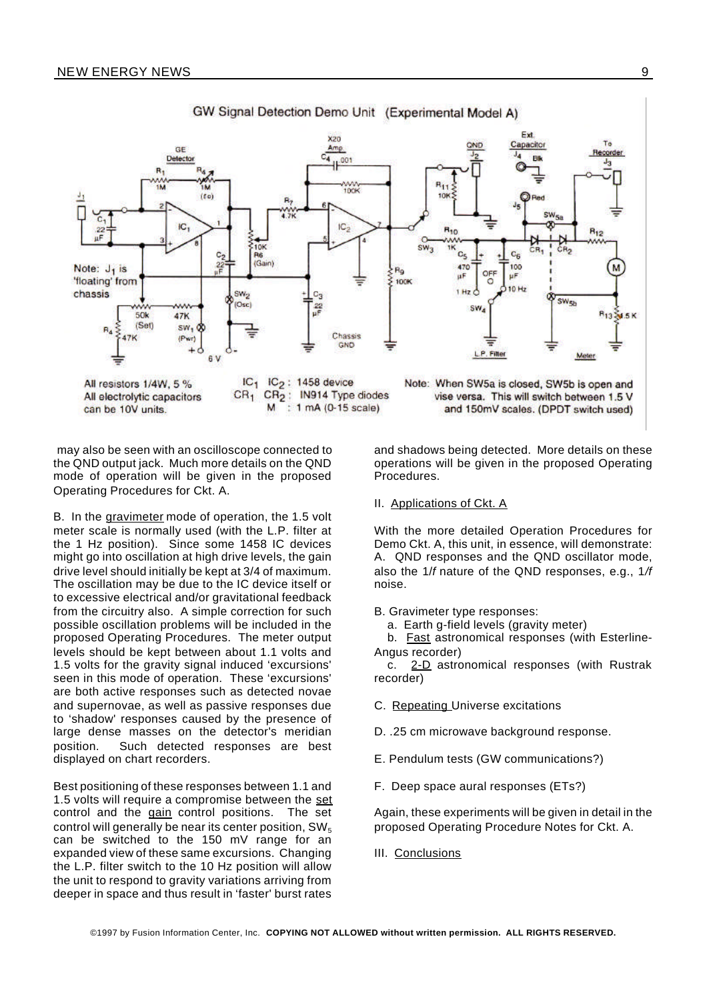

GW Signal Detection Demo Unit (Experimental Model A)

may also be seen with an oscilloscope connected to the QND output jack. Much more details on the QND mode of operation will be given in the proposed Operating Procedures for Ckt. A.

B. In the gravimeter mode of operation, the 1.5 volt meter scale is normally used (with the L.P. filter at the 1 Hz position). Since some 1458 IC devices might go into oscillation at high drive levels, the gain drive level should initially be kept at 3/4 of maximum. The oscillation may be due to the IC device itself or to excessive electrical and/or gravitational feedback from the circuitry also. A simple correction for such possible oscillation problems will be included in the proposed Operating Procedures. The meter output levels should be kept between about 1.1 volts and 1.5 volts for the gravity signal induced 'excursions' seen in this mode of operation. These 'excursions' are both active responses such as detected novae and supernovae, as well as passive responses due to 'shadow' responses caused by the presence of large dense masses on the detector's meridian position. Such detected responses are best displayed on chart recorders.

Best positioning of these responses between 1.1 and 1.5 volts will require a compromise between the set control and the gain control positions. The set control will generally be near its center position,  $SW_5$ can be switched to the 150 mV range for an expanded view of these same excursions. Changing the L.P. filter switch to the 10 Hz position will allow the unit to respond to gravity variations arriving from deeper in space and thus result in 'faster' burst rates

and shadows being detected. More details on these operations will be given in the proposed Operating Procedures.

#### II. Applications of Ckt. A

With the more detailed Operation Procedures for Demo Ckt. A, this unit, in essence, will demonstrate: A. QND responses and the QND oscillator mode, also the 1/*f* nature of the QND responses, e.g., 1*/f* noise.

B. Gravimeter type responses:

a. Earth g-field levels (gravity meter)

b. **Fast astronomical responses** (with Esterline-Angus recorder)

c. 2-D astronomical responses (with Rustrak recorder)

- C. Repeating Universe excitations
- D. .25 cm microwave background response.
- E. Pendulum tests (GW communications?)
- F. Deep space aural responses (ETs?)

Again, these experiments will be given in detail in the proposed Operating Procedure Notes for Ckt. A.

III. Conclusions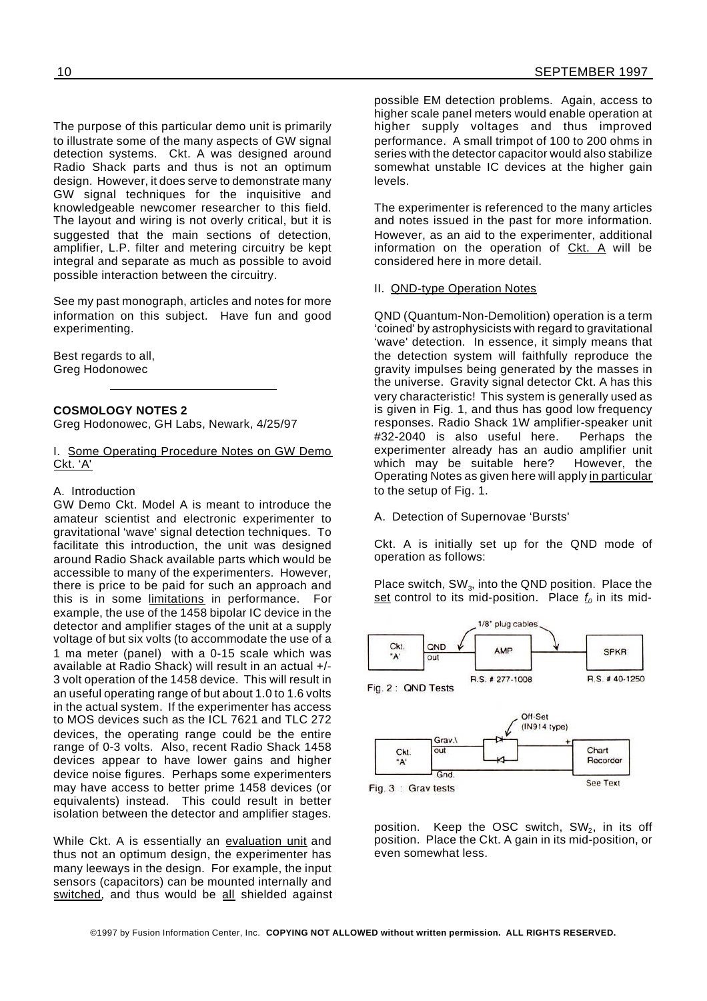The purpose of this particular demo unit is primarily to illustrate some of the many aspects of GW signal detection systems. Ckt. A was designed around Radio Shack parts and thus is not an optimum design. However, it does serve to demonstrate many GW signal techniques for the inquisitive and knowledgeable newcomer researcher to this field. The layout and wiring is not overly critical, but it is suggested that the main sections of detection, amplifier, L.P. filter and metering circuitry be kept integral and separate as much as possible to avoid possible interaction between the circuitry.

See my past monograph, articles and notes for more information on this subject. Have fun and good experimenting.

Best regards to all, Greg Hodonowec

#### **COSMOLOGY NOTES 2**

Greg Hodonowec, GH Labs, Newark, 4/25/97

#### I. Some Operating Procedure Notes on GW Demo Ckt. 'A'

#### A. Introduction

GW Demo Ckt. Model A is meant to introduce the amateur scientist and electronic experimenter to gravitational 'wave' signal detection techniques. To facilitate this introduction, the unit was designed around Radio Shack available parts which would be accessible to many of the experimenters. However, there is price to be paid for such an approach and this is in some limitations in performance. For example, the use of the 1458 bipolar IC device in the detector and amplifier stages of the unit at a supply voltage of but six volts (to accommodate the use of a 1 ma meter (panel) with a 0-15 scale which was available at Radio Shack) will result in an actual +/- 3 volt operation of the 1458 device. This will result in an useful operating range of but about 1.0 to 1.6 volts in the actual system. If the experimenter has access to MOS devices such as the ICL 7621 and TLC 272 devices, the operating range could be the entire range of 0-3 volts. Also, recent Radio Shack 1458 devices appear to have lower gains and higher device noise figures. Perhaps some experimenters may have access to better prime 1458 devices (or equivalents) instead. This could result in better isolation between the detector and amplifier stages.

While Ckt. A is essentially an evaluation unit and thus not an optimum design, the experimenter has many leeways in the design. For example, the input sensors (capacitors) can be mounted internally and switched, and thus would be all shielded against

possible EM detection problems. Again, access to higher scale panel meters would enable operation at higher supply voltages and thus improved performance. A small trimpot of 100 to 200 ohms in series with the detector capacitor would also stabilize somewhat unstable IC devices at the higher gain levels.

The experimenter is referenced to the many articles and notes issued in the past for more information. However, as an aid to the experimenter, additional information on the operation of Ckt. A will be considered here in more detail.

#### II. QND-type Operation Notes

QND (Quantum-Non-Demolition) operation is a term 'coined' by astrophysicists with regard to gravitational 'wave' detection. In essence, it simply means that the detection system will faithfully reproduce the gravity impulses being generated by the masses in the universe. Gravity signal detector Ckt. A has this very characteristic! This system is generally used as is given in Fig. 1, and thus has good low frequency responses. Radio Shack 1W amplifier-speaker unit #32-2040 is also useful here. Perhaps the experimenter already has an audio amplifier unit which may be suitable here? However, the Operating Notes as given here will apply in particular to the setup of Fig. 1.

A. Detection of Supernovae 'Bursts'

Ckt. A is initially set up for the QND mode of operation as follows:

Place switch, SW<sub>3</sub>, into the QND position. Place the set control to its mid-position. Place *f<sup>0</sup>* in its mid-





position. Keep the OSC switch, SW $_2$ , in its off position. Place the Ckt. A gain in its mid-position, or even somewhat less.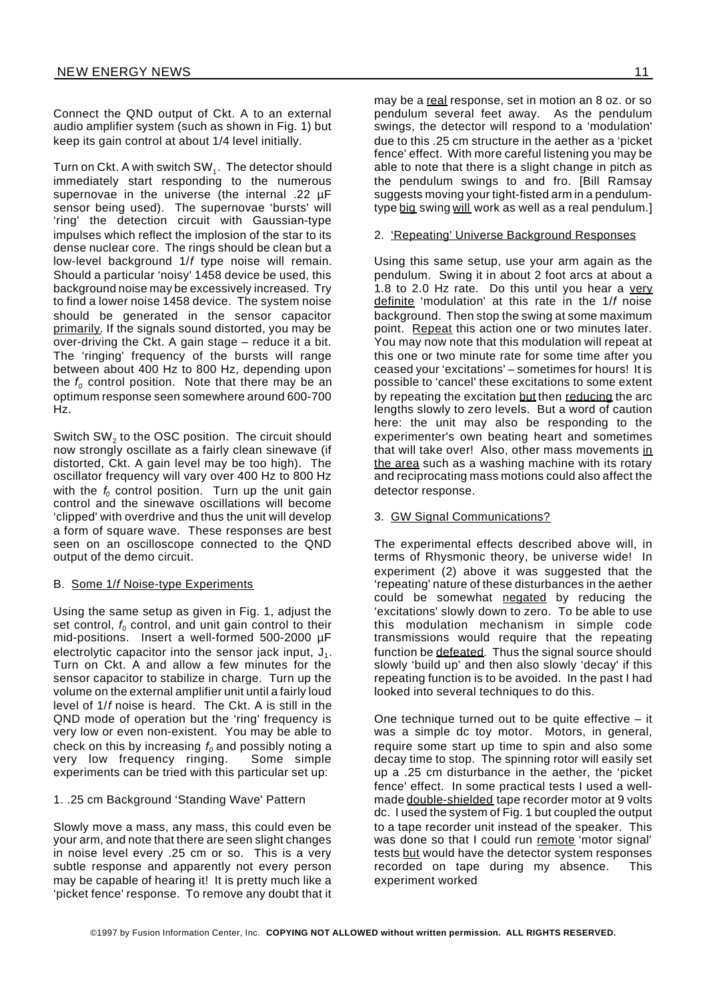Connect the QND output of Ckt. A to an external audio amplifier system (such as shown in Fig. 1) but keep its gain control at about 1/4 level initially.

Turn on Ckt. A with switch SW $_{\textrm{\tiny{1}}}$ . The detector should immediately start responding to the numerous supernovae in the universe (the internal .22 µF sensor being used). The supernovae 'bursts' will 'ring' the detection circuit with Gaussian-type impulses which reflect the implosion of the star to its dense nuclear core. The rings should be clean but a low-level background 1/*f* type noise will remain. Should a particular 'noisy' 1458 device be used, this background noise may be excessively increased. Try to find a lower noise 1458 device. The system noise should be generated in the sensor capacitor primarily. If the signals sound distorted, you may be over-driving the Ckt. A gain stage – reduce it a bit. The 'ringing' frequency of the bursts will range between about 400 Hz to 800 Hz, depending upon the  $f<sub>0</sub>$  control position. Note that there may be an optimum response seen somewhere around 600-700 Hz.

Switch SW $_2$  to the OSC position. The circuit should now strongly oscillate as a fairly clean sinewave (if distorted, Ckt. A gain level may be too high). The oscillator frequency will vary over 400 Hz to 800 Hz with the *f<sub>0</sub>* control position. Turn up the unit gain control and the sinewave oscillations will become 'clipped' with overdrive and thus the unit will develop a form of square wave. These responses are best seen on an oscilloscope connected to the QND output of the demo circuit.

#### B. Some 1/*f* Noise-type Experiments

Using the same setup as given in Fig. 1, adjust the set control,  $f_0$  control, and unit gain control to their mid-positions. Insert a well-formed 500-2000 µF electrolytic capacitor into the sensor jack input,  $J_1$ . Turn on Ckt. A and allow a few minutes for the sensor capacitor to stabilize in charge. Turn up the volume on the external amplifier unit until a fairly loud level of 1/*f* noise is heard. The Ckt. A is still in the QND mode of operation but the 'ring' frequency is very low or even non-existent. You may be able to check on this by increasing  $f_0$  and possibly noting a very low frequency ringing. Some simple very low frequency ringing. experiments can be tried with this particular set up:

#### 1. .25 cm Background 'Standing Wave' Pattern

Slowly move a mass, any mass, this could even be your arm, and note that there are seen slight changes in noise level every .25 cm or so. This is a very subtle response and apparently not every person may be capable of hearing it! It is pretty much like a 'picket fence' response. To remove any doubt that it

may be a real response, set in motion an 8 oz. or so pendulum several feet away. As the pendulum swings, the detector will respond to a 'modulation' due to this .25 cm structure in the aether as a 'picket fence' effect. With more careful listening you may be able to note that there is a slight change in pitch as the pendulum swings to and fro. [Bill Ramsay suggests moving your tight-fisted arm in a pendulumtype big swing will work as well as a real pendulum.]

#### 2. 'Repeating' Universe Background Responses

Using this same setup, use your arm again as the pendulum. Swing it in about 2 foot arcs at about a 1.8 to 2.0 Hz rate. Do this until you hear a very definite 'modulation' at this rate in the 1/*f* noise background. Then stop the swing at some maximum point. Repeat this action one or two minutes later. You may now note that this modulation will repeat at this one or two minute rate for some time after you ceased your 'excitations' – sometimes for hours! It is possible to 'cancel' these excitations to some extent by repeating the excitation but then reducing the arc lengths slowly to zero levels. But a word of caution here: the unit may also be responding to the experimenter's own beating heart and sometimes that will take over! Also, other mass movements in the area such as a washing machine with its rotary and reciprocating mass motions could also affect the detector response.

#### 3. GW Signal Communications?

The experimental effects described above will, in terms of Rhysmonic theory, be universe wide! In experiment (2) above it was suggested that the 'repeating' nature of these disturbances in the aether could be somewhat negated by reducing the 'excitations' slowly down to zero. To be able to use this modulation mechanism in simple code transmissions would require that the repeating function be defeated. Thus the signal source should slowly 'build up' and then also slowly 'decay' if this repeating function is to be avoided. In the past I had looked into several techniques to do this.

One technique turned out to be quite effective – it was a simple dc toy motor. Motors, in general, require some start up time to spin and also some decay time to stop. The spinning rotor will easily set up a .25 cm disturbance in the aether, the 'picket fence' effect. In some practical tests I used a wellmade double-shielded tape recorder motor at 9 volts dc. I used the system of Fig. 1 but coupled the output to a tape recorder unit instead of the speaker. This was done so that I could run remote 'motor signal' tests but would have the detector system responses recorded on tape during my absence. This experiment worked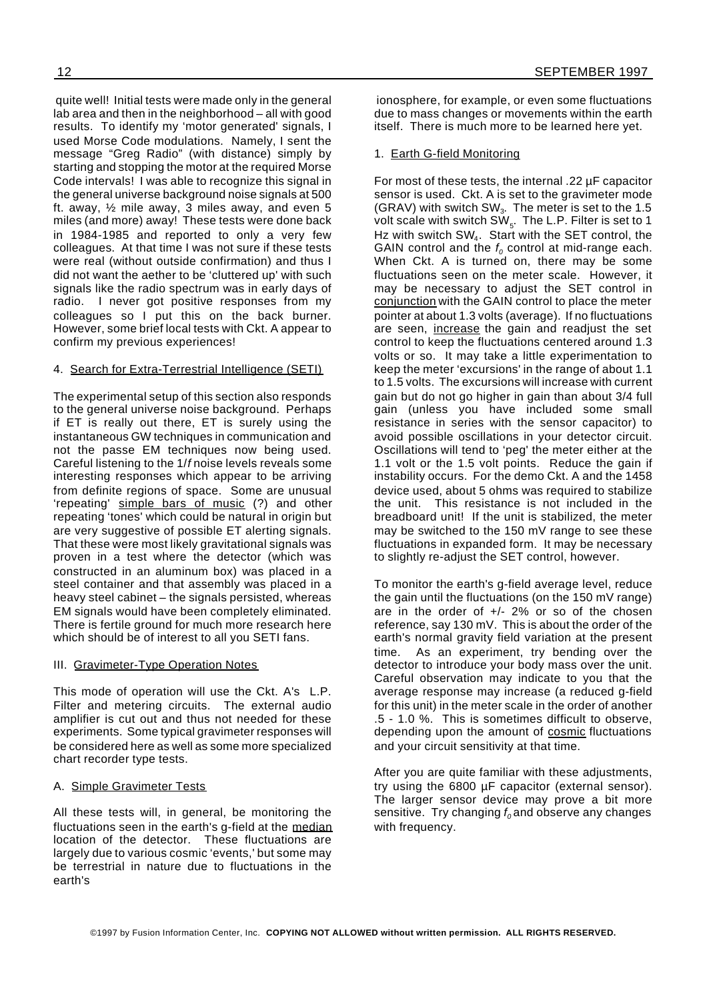quite well! Initial tests were made only in the general lab area and then in the neighborhood – all with good results. To identify my 'motor generated' signals, I used Morse Code modulations. Namely, I sent the message "Greg Radio" (with distance) simply by starting and stopping the motor at the required Morse Code intervals! I was able to recognize this signal in the general universe background noise signals at 500 ft. away, ½ mile away, 3 miles away, and even 5 miles (and more) away! These tests were done back in 1984-1985 and reported to only a very few colleagues. At that time I was not sure if these tests were real (without outside confirmation) and thus I did not want the aether to be 'cluttered up' with such signals like the radio spectrum was in early days of radio. I never got positive responses from my colleagues so I put this on the back burner. However, some brief local tests with Ckt. A appear to confirm my previous experiences!

#### 4. Search for Extra-Terrestrial Intelligence (SETI)

The experimental setup of this section also responds to the general universe noise background. Perhaps if ET is really out there, ET is surely using the instantaneous GW techniques in communication and not the passe EM techniques now being used. Careful listening to the 1/*f* noise levels reveals some interesting responses which appear to be arriving from definite regions of space. Some are unusual 'repeating' simple bars of music (?) and other repeating 'tones' which could be natural in origin but are very suggestive of possible ET alerting signals. That these were most likely gravitational signals was proven in a test where the detector (which was constructed in an aluminum box) was placed in a steel container and that assembly was placed in a heavy steel cabinet – the signals persisted, whereas EM signals would have been completely eliminated. There is fertile ground for much more research here which should be of interest to all you SETI fans.

#### III. Gravimeter-Type Operation Notes

This mode of operation will use the Ckt. A's L.P. Filter and metering circuits. The external audio amplifier is cut out and thus not needed for these experiments. Some typical gravimeter responses will be considered here as well as some more specialized chart recorder type tests.

#### A. Simple Gravimeter Tests

All these tests will, in general, be monitoring the fluctuations seen in the earth's g-field at the median location of the detector. These fluctuations are largely due to various cosmic 'events,' but some may be terrestrial in nature due to fluctuations in the earth's

ionosphere, for example, or even some fluctuations due to mass changes or movements within the earth itself. There is much more to be learned here yet.

#### 1. Earth G-field Monitoring

For most of these tests, the internal .22 µF capacitor sensor is used. Ckt. A is set to the gravimeter mode (GRAV) with switch SW $_3$ . The meter is set to the 1.5 volt scale with switch SW $_{\rm 5}$ . The L.P. Filter is set to 1 Hz with switch SW<sup>4</sup> . Start with the SET control, the GAIN control and the  $f<sub>0</sub>$  control at mid-range each. When Ckt. A is turned on, there may be some fluctuations seen on the meter scale. However, it may be necessary to adjust the SET control in conjunction with the GAIN control to place the meter pointer at about 1.3 volts (average). If no fluctuations are seen, increase the gain and readjust the set control to keep the fluctuations centered around 1.3 volts or so. It may take a little experimentation to keep the meter 'excursions' in the range of about 1.1 to 1.5 volts. The excursions will increase with current gain but do not go higher in gain than about 3/4 full gain (unless you have included some small resistance in series with the sensor capacitor) to avoid possible oscillations in your detector circuit. Oscillations will tend to 'peg' the meter either at the 1.1 volt or the 1.5 volt points. Reduce the gain if instability occurs. For the demo Ckt. A and the 1458 device used, about 5 ohms was required to stabilize the unit. This resistance is not included in the breadboard unit! If the unit is stabilized, the meter may be switched to the 150 mV range to see these fluctuations in expanded form. It may be necessary to slightly re-adjust the SET control, however.

To monitor the earth's g-field average level, reduce the gain until the fluctuations (on the 150 mV range) are in the order of  $+/-$  2% or so of the chosen reference, say 130 mV. This is about the order of the earth's normal gravity field variation at the present time. As an experiment, try bending over the detector to introduce your body mass over the unit. Careful observation may indicate to you that the average response may increase (a reduced g-field for this unit) in the meter scale in the order of another .5 - 1.0 %. This is sometimes difficult to observe, depending upon the amount of cosmic fluctuations and your circuit sensitivity at that time.

After you are quite familiar with these adjustments, try using the 6800 µF capacitor (external sensor). The larger sensor device may prove a bit more sensitive. Try changing *f<sup>0</sup>* and observe any changes with frequency.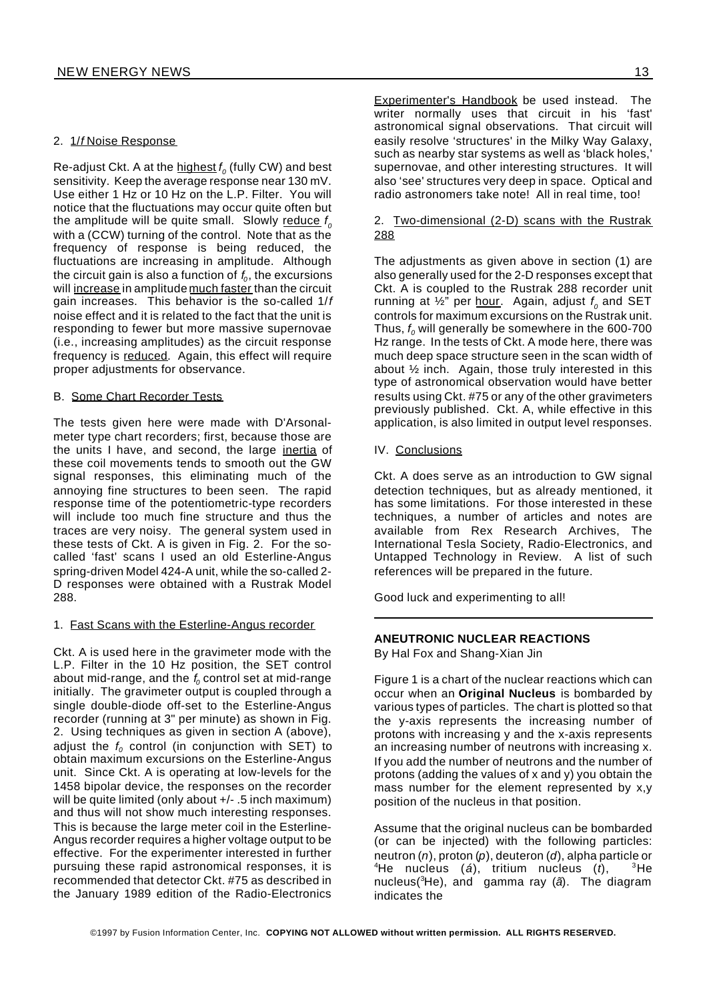#### 2. 1/*f* Noise Response

Re-adjust Ckt. A at the highest *f 0* (fully CW) and best sensitivity. Keep the average response near 130 mV. Use either 1 Hz or 10 Hz on the L.P. Filter. You will notice that the fluctuations may occur quite often but the amplitude will be quite small. Slowly reduce  $f_c$ with a (CCW) turning of the control. Note that as the frequency of response is being reduced, the fluctuations are increasing in amplitude. Although the circuit gain is also a function of *f<sup>0</sup>* , the excursions will increase in amplitude much faster than the circuit gain increases. This behavior is the so-called 1/*f* noise effect and it is related to the fact that the unit is responding to fewer but more massive supernovae (i.e., increasing amplitudes) as the circuit response frequency is reduced. Again, this effect will require proper adjustments for observance.

#### B. Some Chart Recorder Tests

The tests given here were made with D'Arsonalmeter type chart recorders; first, because those are the units I have, and second, the large inertia of these coil movements tends to smooth out the GW signal responses, this eliminating much of the annoying fine structures to been seen. The rapid response time of the potentiometric-type recorders will include too much fine structure and thus the traces are very noisy. The general system used in these tests of Ckt. A is given in Fig. 2. For the socalled 'fast' scans I used an old Esterline-Angus spring-driven Model 424-A unit, while the so-called 2- D responses were obtained with a Rustrak Model 288.

#### 1. Fast Scans with the Esterline-Angus recorder

Ckt. A is used here in the gravimeter mode with the L.P. Filter in the 10 Hz position, the SET control about mid-range, and the *f<sup>0</sup>* control set at mid-range initially. The gravimeter output is coupled through a single double-diode off-set to the Esterline-Angus recorder (running at 3" per minute) as shown in Fig. 2. Using techniques as given in section A (above), adjust the  $f<sub>0</sub>$  control (in conjunction with SET) to obtain maximum excursions on the Esterline-Angus unit. Since Ckt. A is operating at low-levels for the 1458 bipolar device, the responses on the recorder will be quite limited (only about +/- .5 inch maximum) and thus will not show much interesting responses. This is because the large meter coil in the Esterline-Angus recorder requires a higher voltage output to be effective. For the experimenter interested in further pursuing these rapid astronomical responses, it is recommended that detector Ckt. #75 as described in the January 1989 edition of the Radio-Electronics

Experimenter's Handbook be used instead. The writer normally uses that circuit in his 'fast' astronomical signal observations. That circuit will easily resolve 'structures' in the Milky Way Galaxy, such as nearby star systems as well as 'black holes,' supernovae, and other interesting structures. It will also 'see' structures very deep in space. Optical and radio astronomers take note! All in real time, too!

#### 2. Two-dimensional (2-D) scans with the Rustrak 288

The adjustments as given above in section (1) are also generally used for the 2-D responses except that Ckt. A is coupled to the Rustrak 288 recorder unit running at ½" per hour. Again, adjust *f 0* and SET controls for maximum excursions on the Rustrak unit. Thus, *f<sup>0</sup>* will generally be somewhere in the 600-700 Hz range. In the tests of Ckt. A mode here, there was much deep space structure seen in the scan width of about ½ inch. Again, those truly interested in this type of astronomical observation would have better results using Ckt. #75 or any of the other gravimeters previously published. Ckt. A, while effective in this application, is also limited in output level responses.

IV. Conclusions

Ckt. A does serve as an introduction to GW signal detection techniques, but as already mentioned, it has some limitations. For those interested in these techniques, a number of articles and notes are available from Rex Research Archives, The International Tesla Society, Radio-Electronics, and Untapped Technology in Review. A list of such references will be prepared in the future.

Good luck and experimenting to all!

#### **ANEUTRONIC NUCLEAR REACTIONS**

By Hal Fox and Shang-Xian Jin

Figure 1 is a chart of the nuclear reactions which can occur when an **Original Nucleus** is bombarded by various types of particles. The chart is plotted so that the y-axis represents the increasing number of protons with increasing y and the x-axis represents an increasing number of neutrons with increasing x. If you add the number of neutrons and the number of protons (adding the values of x and y) you obtain the mass number for the element represented by x,y position of the nucleus in that position.

Assume that the original nucleus can be bombarded (or can be injected) with the following particles: neutron (*n*), proton (*p*), deuteron (*d*), alpha particle or <sup>4</sup>He nucleus (*á*), tritium nucleus (*t*), <sup>3</sup>He nucleus(<sup>3</sup>He), and gamma ray (*ã*). The diagram indicates the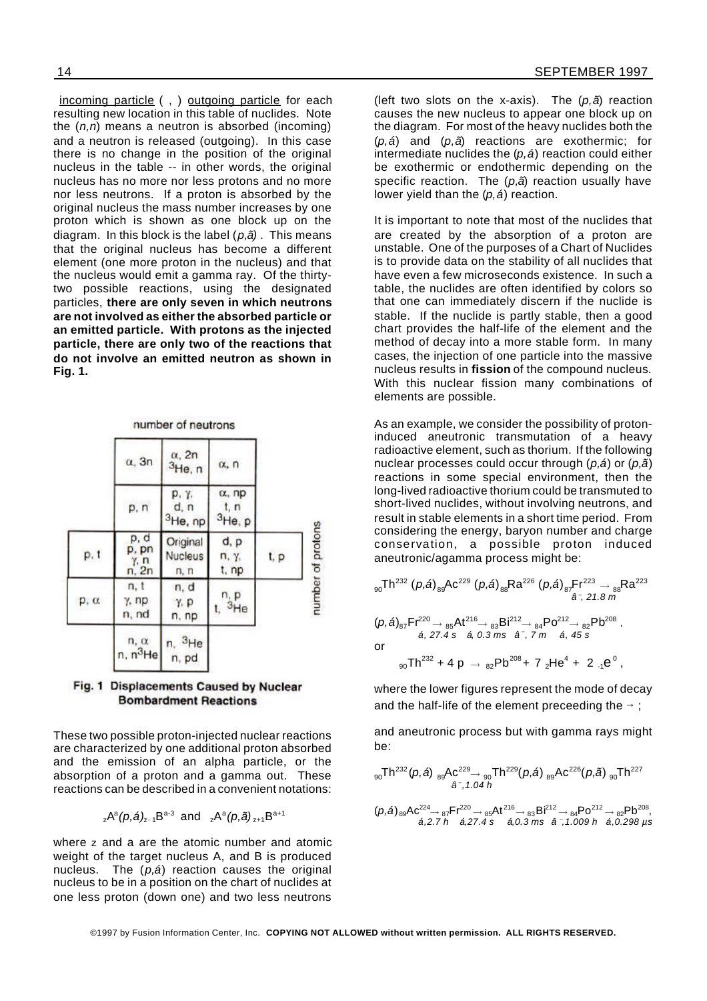incoming particle ( , ) outgoing particle for each resulting new location in this table of nuclides. Note the (*n,n*) means a neutron is absorbed (incoming) and a neutron is released (outgoing). In this case there is no change in the position of the original nucleus in the table -- in other words, the original nucleus has no more nor less protons and no more nor less neutrons. If a proton is absorbed by the original nucleus the mass number increases by one proton which is shown as one block up on the diagram. In this block is the label (*p,ã)* . This means that the original nucleus has become a different element (one more proton in the nucleus) and that the nucleus would emit a gamma ray. Of the thirtytwo possible reactions, using the designated particles, **there are only seven in which neutrons are not involved as either the absorbed particle or an emitted particle. With protons as the injected particle, there are only two of the reactions that do not involve an emitted neutron as shown in Fig. 1.**

#### number of neutrons

|      | $\alpha$ , 3n                  | $\alpha$ , 2n<br>$3$ He, n           | $\alpha$ , n                         |      |
|------|--------------------------------|--------------------------------------|--------------------------------------|------|
|      | p, n                           | p, y,<br>d, n<br><sup>3</sup> He, np | $\alpha$ , np<br>t, n<br>$3$ He, $p$ |      |
| p, t | p, d<br>$p, pn$<br>$n, 2n$     | Original<br><b>Nucleus</b><br>n, n   | d, p<br>п, ү,<br>t, np               | t, p |
| p, a | n, t<br>$\gamma$ , np<br>n, nd | n, d<br>Y, P<br>n, np                | $n$ <sub>3He</sub>                   |      |
|      | $n, \alpha$<br>$n, n^3$ He     | $n, \frac{3}{16}$<br>n, pd           |                                      |      |

#### Fig. 1 Displacements Caused by Nuclear **Bombardment Reactions**

These two possible proton-injected nuclear reactions are characterized by one additional proton absorbed and the emission of an alpha particle, or the absorption of a proton and a gamma out. These reactions can be described in a convenient notations:

<sub>z</sub>A<sup>a</sup>(p,á)<sub>z-1</sub>B<sup>a-3</sup> and <sub>z</sub>A<sup>a</sup>(p,ã)<sub>z+1</sub>B<sup>a+1</sup>

where z and a are the atomic number and atomic weight of the target nucleus A, and B is produced nucleus. The (*p,á*) reaction causes the original nucleus to be in a position on the chart of nuclides at one less proton (down one) and two less neutrons

(left two slots on the x-axis). The (*p,ã*) reaction causes the new nucleus to appear one block up on the diagram. For most of the heavy nuclides both the (*p,á*) and (*p,ã*) reactions are exothermic; for intermediate nuclides the (*p,á*) reaction could either be exothermic or endothermic depending on the specific reaction. The (*p,ã*) reaction usually have lower yield than the (*p,á*) reaction.

It is important to note that most of the nuclides that are created by the absorption of a proton are unstable. One of the purposes of a Chart of Nuclides is to provide data on the stability of all nuclides that have even a few microseconds existence. In such a table, the nuclides are often identified by colors so that one can immediately discern if the nuclide is stable. If the nuclide is partly stable, then a good chart provides the half-life of the element and the method of decay into a more stable form. In many cases, the injection of one particle into the massive nucleus results in **fission** of the compound nucleus. With this nuclear fission many combinations of elements are possible.

As an example, we consider the possibility of protoninduced aneutronic transmutation of a heavy radioactive element, such as thorium. If the following nuclear processes could occur through (*p,á*) or (*p,ã*) reactions in some special environment, then the long-lived radioactive thorium could be transmuted to short-lived nuclides, without involving neutrons, and result in stable elements in a short time period. From considering the energy, baryon number and charge conservation, a possible proton induced aneutronic/agamma process might be:

$$
{}_{90}Th^{232} (p,\hat{a}){}_{89}Ac^{229} (p,\hat{a}){}_{88}Ra^{226} (p,\hat{a}){}_{87}Fr^{223} \rightarrow {}_{88}Ra^{223}
$$
\n
$$
{}_{\hat{a}\hat{7}, 21.8\ m} (p,\hat{a}){}_{87}Fr^{220} \rightarrow {}_{85}At^{216} \rightarrow {}_{83}Bi^{212} \rightarrow {}_{84}Po^{212} \rightarrow {}_{82}Pb^{208},
$$
\n
$$
{}_{\hat{a}, 27.4\ s} \quad {}_{\hat{a}, 0.3\ ms} \quad {}_{\hat{a}\hat{7}, 7\ m} \quad {}_{\hat{a}, 45\ s} (p,\hat{a})
$$
\nor\n
$$
{}_{90}Th^{232} + 4p \rightarrow {}_{82}Pb^{208} + 7 {}_{2}He^{4} + 2 {}_{-1}e^{0},
$$

where the lower figures represent the mode of decay and the half-life of the element preceeding the  $\rightarrow$ ;

and aneutronic process but with gamma rays might be:

$$
{}_{90}Th^{232}(p, \hat{a}) {}_{89}Ac^{229} \rightarrow {}_{90}Th^{229}(p, \hat{a}) {}_{89}Ac^{226}(p, \tilde{a}) {}_{90}Th^{227}
$$
  

$$
\hat{a}^{-}, 1.04 h
$$
  

$$
(p, \hat{a}) {}_{89}Ac^{224} \rightarrow {}_{87}Fr^{220} \rightarrow {}_{85}At^{216} \rightarrow {}_{83}Br^{212} \rightarrow {}_{84}Po^{212} \rightarrow {}_{82}Pb^{208},
$$
  

$$
\hat{a}, 2.7 h \quad \hat{a}, 27.4 s \quad \hat{a}, 0.3 ms \quad \hat{a}^{-}, 1.009 h \quad \hat{a}, 0.298 \text{ ps}
$$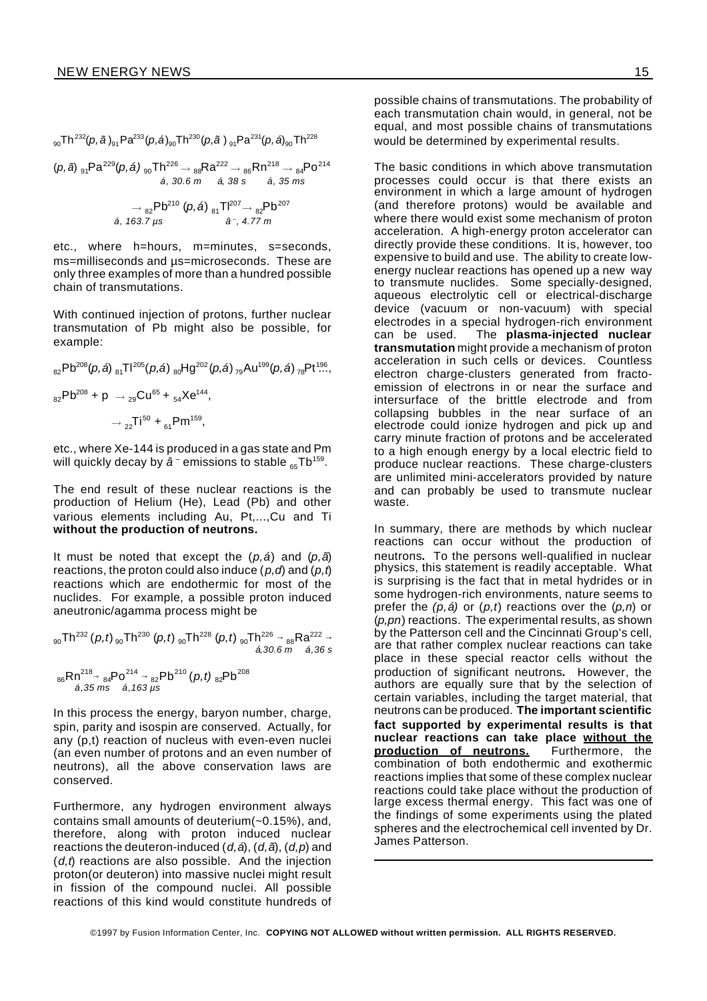$$
{}_{90}Th^{232}(p, \tilde{a})_{91}Pa^{233}(p, \acute{a})_{90}Th^{230}(p, \tilde{a})_{91}Pa^{231}(p, \acute{a})_{90}Th^{228}
$$
\n
$$
(p, \tilde{a})_{91}Pa^{229}(p, \acute{a})_{90}Th^{226} \rightarrow {}_{88}Ra^{222} \rightarrow {}_{86}Rn^{218} \rightarrow {}_{84}Po^{214}
$$
\n
$$
\acute{a}, 30.6 \text{ m} \quad \acute{a}, 38 \text{ s} \quad \acute{a}, 35 \text{ ms}
$$
\n
$$
\rightarrow {}_{82}Pb^{210}(p, \acute{a})_{81}Th^{207} \rightarrow {}_{82}Pb^{207}
$$
\n
$$
\acute{a}, 163.7 \text{ µs} \quad \acute{a}^{-}, 4.77 \text{ m}
$$

etc., where h=hours, m=minutes, s=seconds, ms=milliseconds and µs=microseconds. These are only three examples of more than a hundred possible chain of transmutations.

With continued injection of protons, further nuclear transmutation of Pb might also be possible, for example:

$$
{}_{82}Pb^{208}(p,\hat{a}) {}_{81}Tl^{205}(p,\hat{a}) {}_{80}Hg^{202}(p,\hat{a}) {}_{79}Au^{199}(p,\hat{a}) {}_{78}Pt^{196},
$$
  

$$
{}_{82}Pb^{208} + p \rightarrow {}_{29}Cu^{65} + {}_{54}Xe^{144},
$$
  

$$
\rightarrow {}_{22}Ti^{50} + {}_{61}Pm^{159},
$$

etc., where Xe-144 is produced in a gas state and Pm will quickly decay by *â* <sup>–</sup> emissions to stable <sub>65</sub>Tb<sup>159</sup>.

The end result of these nuclear reactions is the production of Helium (He), Lead (Pb) and other various elements including Au, Pt,...,Cu and Ti **without the production of neutrons.**

It must be noted that except the (*p,á*) and (*p,ã*) reactions, the proton could also induce (*p,d*) and (*p,t*) reactions which are endothermic for most of the nuclides. For example, a possible proton induced aneutronic/agamma process might be

$$
{}_{90}Th^{232} (p,t) {}_{90}Th^{230} (p,t) {}_{90}Th^{228} (p,t) {}_{90}Th^{226} \rightarrow {}_{6,30.6}Rn {}_{6,36}S
$$
  

$$
{}_{86}Rn {}_{84}^{218} \rightarrow {}_{84}Po^{214} \rightarrow {}_{82}Pb^{210} (p,t) {}_{82}Pb^{208}
$$
  

$$
{}_{6,35}Rn {}_{84}^{218} \rightarrow {}_{6,163 \mu S}^{8} (p,t) {}_{82}Pb^{208}
$$

In this process the energy, baryon number, charge, spin, parity and isospin are conserved. Actually, for any (p,t) reaction of nucleus with even-even nuclei (an even number of protons and an even number of neutrons), all the above conservation laws are conserved.

Furthermore, any hydrogen environment always contains small amounts of deuterium(~0.15%), and, therefore, along with proton induced nuclear reactions the deuteron-induced (*d,á*), (*d,ã*), (*d,p*) and (*d,t*) reactions are also possible. And the injection proton(or deuteron) into massive nuclei might result in fission of the compound nuclei. All possible reactions of this kind would constitute hundreds of

possible chains of transmutations. The probability of each transmutation chain would, in general, not be equal, and most possible chains of transmutations would be determined by experimental results.

The basic conditions in which above transmutation processes could occur is that there exists an environment in which a large amount of hydrogen (and therefore protons) would be available and where there would exist some mechanism of proton acceleration. A high-energy proton accelerator can directly provide these conditions. It is, however, too expensive to build and use. The ability to create lowenergy nuclear reactions has opened up a new way to transmute nuclides. Some specially-designed, aqueous electrolytic cell or electrical-discharge device (vacuum or non-vacuum) with special electrodes in a special hydrogen-rich environment can be used. The **plasma-injected nuclear transmutation** might provide a mechanism of proton acceleration in such cells or devices. Countless electron charge-clusters generated from fractoemission of electrons in or near the surface and intersurface of the brittle electrode and from collapsing bubbles in the near surface of an electrode could ionize hydrogen and pick up and carry minute fraction of protons and be accelerated to a high enough energy by a local electric field to produce nuclear reactions. These charge-clusters are unlimited mini-accelerators provided by nature and can probably be used to transmute nuclear waste.

In summary, there are methods by which nuclear reactions can occur without the production of neutrons**.** To the persons well-qualified in nuclear physics, this statement is readily acceptable. What is surprising is the fact that in metal hydrides or in some hydrogen-rich environments, nature seems to prefer the *(p,á)* or (*p,t*) reactions over the (*p,n*) or (*p,pn*) reactions. The experimental results, as shown by the Patterson cell and the Cincinnati Group's cell, are that rather complex nuclear reactions can take place in these special reactor cells without the production of significant neutrons**.** However, the authors are equally sure that by the selection of certain variables, including the target material, that neutrons can be produced. **The important scientific fact supported by experimental results is that nuclear reactions can take place without the production of neutrons.** Furthermore, the combination of both endothermic and exothermic reactions implies that some of these complex nuclear reactions could take place without the production of large excess thermal energy. This fact was one of the findings of some experiments using the plated spheres and the electrochemical cell invented by Dr. James Patterson.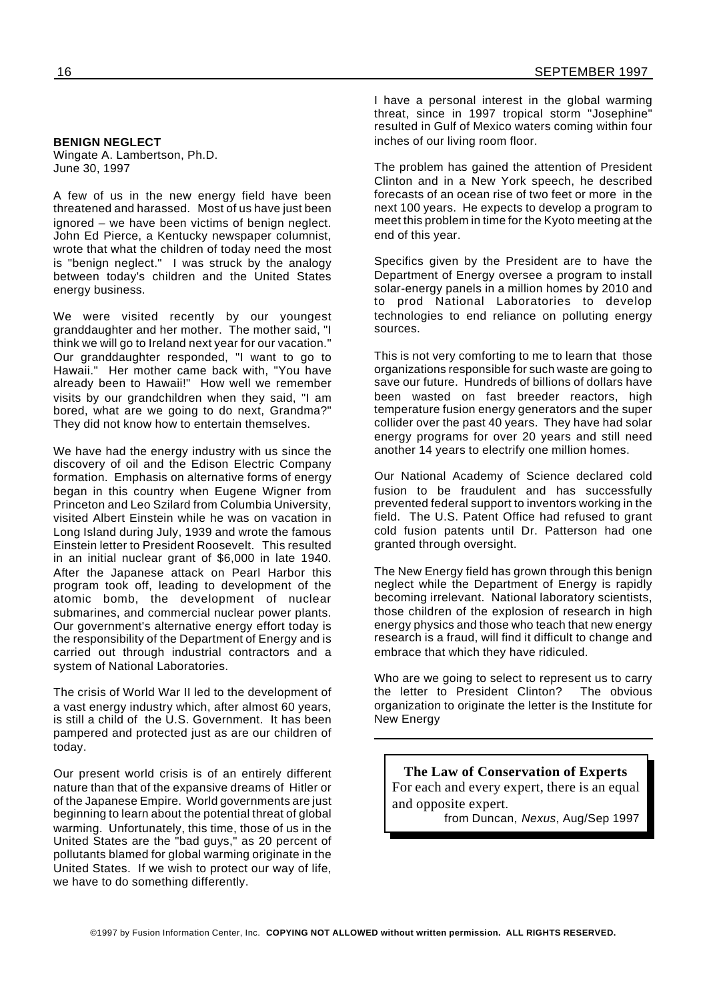#### **BENIGN NEGLECT**

Wingate A. Lambertson, Ph.D. June 30, 1997

A few of us in the new energy field have been threatened and harassed. Most of us have just been ignored – we have been victims of benign neglect. John Ed Pierce, a Kentucky newspaper columnist, wrote that what the children of today need the most is "benign neglect." I was struck by the analogy between today's children and the United States energy business.

We were visited recently by our youngest granddaughter and her mother. The mother said, "I think we will go to Ireland next year for our vacation." Our granddaughter responded, "I want to go to Hawaii." Her mother came back with, "You have already been to Hawaii!" How well we remember visits by our grandchildren when they said, "I am bored, what are we going to do next, Grandma?" They did not know how to entertain themselves.

We have had the energy industry with us since the discovery of oil and the Edison Electric Company formation. Emphasis on alternative forms of energy began in this country when Eugene Wigner from Princeton and Leo Szilard from Columbia University, visited Albert Einstein while he was on vacation in Long Island during July, 1939 and wrote the famous Einstein letter to President Roosevelt. This resulted in an initial nuclear grant of \$6,000 in late 1940. After the Japanese attack on Pearl Harbor this program took off, leading to development of the atomic bomb, the development of nuclear submarines, and commercial nuclear power plants. Our government's alternative energy effort today is the responsibility of the Department of Energy and is carried out through industrial contractors and a system of National Laboratories.

The crisis of World War II led to the development of a vast energy industry which, after almost 60 years, is still a child of the U.S. Government. It has been pampered and protected just as are our children of today.

Our present world crisis is of an entirely different nature than that of the expansive dreams of Hitler or of the Japanese Empire. World governments are just beginning to learn about the potential threat of global warming. Unfortunately, this time, those of us in the United States are the "bad guys," as 20 percent of pollutants blamed for global warming originate in the United States. If we wish to protect our way of life, we have to do something differently.

I have a personal interest in the global warming threat, since in 1997 tropical storm "Josephine" resulted in Gulf of Mexico waters coming within four inches of our living room floor.

The problem has gained the attention of President Clinton and in a New York speech, he described forecasts of an ocean rise of two feet or more in the next 100 years. He expects to develop a program to meet this problem in time for the Kyoto meeting at the end of this year.

Specifics given by the President are to have the Department of Energy oversee a program to install solar-energy panels in a million homes by 2010 and to prod National Laboratories to develop technologies to end reliance on polluting energy sources.

This is not very comforting to me to learn that those organizations responsible for such waste are going to save our future. Hundreds of billions of dollars have been wasted on fast breeder reactors, high temperature fusion energy generators and the super collider over the past 40 years. They have had solar energy programs for over 20 years and still need another 14 years to electrify one million homes.

Our National Academy of Science declared cold fusion to be fraudulent and has successfully prevented federal support to inventors working in the field. The U.S. Patent Office had refused to grant cold fusion patents until Dr. Patterson had one granted through oversight.

The New Energy field has grown through this benign neglect while the Department of Energy is rapidly becoming irrelevant. National laboratory scientists, those children of the explosion of research in high energy physics and those who teach that new energy research is a fraud, will find it difficult to change and embrace that which they have ridiculed.

Who are we going to select to represent us to carry the letter to President Clinton? The obvious organization to originate the letter is the Institute for New Energy

**The Law of Conservation of Experts** For each and every expert, there is an equal and opposite expert.

from Duncan, *Nexus*, Aug/Sep 1997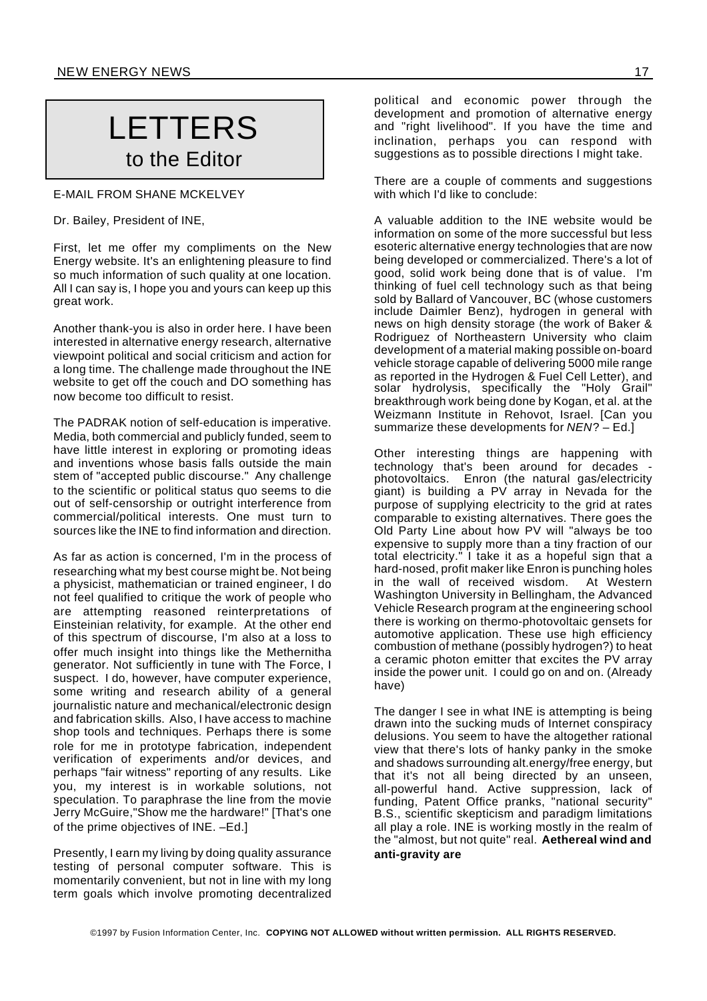## LETTERS to the Editor

#### E-MAIL FROM SHANE MCKELVEY

Dr. Bailey, President of INE,

First, let me offer my compliments on the New Energy website. It's an enlightening pleasure to find so much information of such quality at one location. All I can say is, I hope you and yours can keep up this great work.

Another thank-you is also in order here. I have been interested in alternative energy research, alternative viewpoint political and social criticism and action for a long time. The challenge made throughout the INE website to get off the couch and DO something has now become too difficult to resist.

The PADRAK notion of self-education is imperative. Media, both commercial and publicly funded, seem to have little interest in exploring or promoting ideas and inventions whose basis falls outside the main stem of "accepted public discourse." Any challenge to the scientific or political status quo seems to die out of self-censorship or outright interference from commercial/political interests. One must turn to sources like the INE to find information and direction.

As far as action is concerned, I'm in the process of researching what my best course might be. Not being a physicist, mathematician or trained engineer, I do not feel qualified to critique the work of people who are attempting reasoned reinterpretations of Einsteinian relativity, for example. At the other end of this spectrum of discourse, I'm also at a loss to offer much insight into things like the Methernitha generator. Not sufficiently in tune with The Force, I suspect. I do, however, have computer experience, some writing and research ability of a general journalistic nature and mechanical/electronic design and fabrication skills. Also, I have access to machine shop tools and techniques. Perhaps there is some role for me in prototype fabrication, independent verification of experiments and/or devices, and perhaps "fair witness" reporting of any results. Like you, my interest is in workable solutions, not speculation. To paraphrase the line from the movie Jerry McGuire,"Show me the hardware!" [That's one of the prime objectives of INE. –Ed.]

Presently, I earn my living by doing quality assurance testing of personal computer software. This is momentarily convenient, but not in line with my long term goals which involve promoting decentralized political and economic power through the development and promotion of alternative energy and "right livelihood". If you have the time and inclination, perhaps you can respond with suggestions as to possible directions I might take.

There are a couple of comments and suggestions with which I'd like to conclude:

A valuable addition to the INE website would be information on some of the more successful but less esoteric alternative energy technologies that are now being developed or commercialized. There's a lot of good, solid work being done that is of value. I'm thinking of fuel cell technology such as that being sold by Ballard of Vancouver, BC (whose customers include Daimler Benz), hydrogen in general with news on high density storage (the work of Baker & Rodriguez of Northeastern University who claim development of a material making possible on-board vehicle storage capable of delivering 5000 mile range as reported in the Hydrogen & Fuel Cell Letter), and solar hydrolysis, specifically the "Holy Grail" breakthrough work being done by Kogan, et al. at the Weizmann Institute in Rehovot, Israel. [Can you summarize these developments for *NEN*? – Ed.]

Other interesting things are happening with technology that's been around for decades photovoltaics. Enron (the natural gas/electricity giant) is building a PV array in Nevada for the purpose of supplying electricity to the grid at rates comparable to existing alternatives. There goes the Old Party Line about how PV will "always be too expensive to supply more than a tiny fraction of our total electricity." I take it as a hopeful sign that a hard-nosed, profit maker like Enron is punching holes in the wall of received wisdom. At Western Washington University in Bellingham, the Advanced Vehicle Research program at the engineering school there is working on thermo-photovoltaic gensets for automotive application. These use high efficiency combustion of methane (possibly hydrogen?) to heat a ceramic photon emitter that excites the PV array inside the power unit. I could go on and on. (Already have)

The danger I see in what INE is attempting is being drawn into the sucking muds of Internet conspiracy delusions. You seem to have the altogether rational view that there's lots of hanky panky in the smoke and shadows surrounding alt.energy/free energy, but that it's not all being directed by an unseen, all-powerful hand. Active suppression, lack of funding, Patent Office pranks, "national security" B.S., scientific skepticism and paradigm limitations all play a role. INE is working mostly in the realm of the "almost, but not quite" real. **Aethereal wind and anti-gravity are**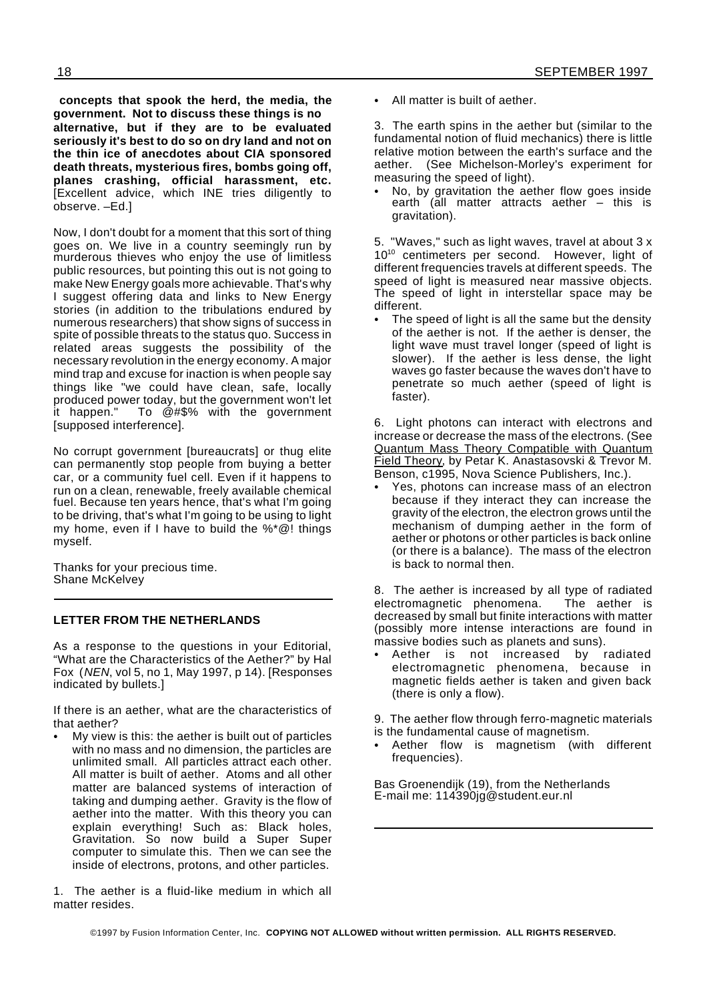**concepts that spook the herd, the media, the government. Not to discuss these things is no alternative, but if they are to be evaluated seriously it's best to do so on dry land and not on the thin ice of anecdotes about CIA sponsored death threats, mysterious fires, bombs going off, planes crashing, official harassment, etc.** [Excellent advice, which INE tries diligently to observe. –Ed.]

Now, I don't doubt for a moment that this sort of thing goes on. We live in a country seemingly run by murderous thieves who enjoy the use of limitless public resources, but pointing this out is not going to make New Energy goals more achievable. That's why I suggest offering data and links to New Energy stories (in addition to the tribulations endured by numerous researchers) that show signs of success in spite of possible threats to the status quo. Success in related areas suggests the possibility of the necessary revolution in the energy economy. A major mind trap and excuse for inaction is when people say things like "we could have clean, safe, locally produced power today, but the government won't let it happen." To @#\$% with the government [supposed interference].

No corrupt government [bureaucrats] or thug elite can permanently stop people from buying a better car, or a community fuel cell. Even if it happens to run on a clean, renewable, freely available chemical fuel. Because ten years hence, that's what I'm going to be driving, that's what I'm going to be using to light my home, even if I have to build the %\*@! things myself.

Thanks for your precious time. Shane McKelvey

#### **LETTER FROM THE NETHERLANDS**

As a response to the questions in your Editorial, "What are the Characteristics of the Aether?" by Hal Fox (*NEN*, vol 5, no 1, May 1997, p 14). [Responses indicated by bullets.]

If there is an aether, what are the characteristics of that aether?

My view is this: the aether is built out of particles with no mass and no dimension, the particles are unlimited small. All particles attract each other. All matter is built of aether. Atoms and all other matter are balanced systems of interaction of taking and dumping aether. Gravity is the flow of aether into the matter. With this theory you can explain everything! Such as: Black holes, Gravitation. So now build a Super Super computer to simulate this. Then we can see the inside of electrons, protons, and other particles.

1. The aether is a fluid-like medium in which all matter resides.

› All matter is built of aether.

3. The earth spins in the aether but (similar to the fundamental notion of fluid mechanics) there is little relative motion between the earth's surface and the aether. (See Michelson-Morley's experiment for measuring the speed of light).

No, by gravitation the aether flow goes inside earth (all matter attracts aether – this is gravitation).

5. "Waves," such as light waves, travel at about 3 x 10<sup>10</sup> centimeters per second. However, light of different frequencies travels at different speeds. The speed of light is measured near massive objects. The speed of light in interstellar space may be different.

The speed of light is all the same but the density of the aether is not. If the aether is denser, the light wave must travel longer (speed of light is slower). If the aether is less dense, the light waves go faster because the waves don't have to penetrate so much aether (speed of light is faster).

6. Light photons can interact with electrons and increase or decrease the mass of the electrons. (See Quantum Mass Theory Compatible with Quantum Field Theory, by Petar K. Anastasovski & Trevor M. Benson, c1995, Nova Science Publishers, Inc.).

Yes, photons can increase mass of an electron because if they interact they can increase the gravity of the electron, the electron grows until the mechanism of dumping aether in the form of aether or photons or other particles is back online (or there is a balance). The mass of the electron is back to normal then.

8. The aether is increased by all type of radiated electromagnetic phenomena. The aether is decreased by small but finite interactions with matter (possibly more intense interactions are found in massive bodies such as planets and suns).

Aether is not increased by radiated electromagnetic phenomena, because in magnetic fields aether is taken and given back (there is only a flow).

9. The aether flow through ferro-magnetic materials is the fundamental cause of magnetism.

Aether flow is magnetism (with different frequencies).

Bas Groenendijk (19), from the Netherlands E-mail me: 114390jg@student.eur.nl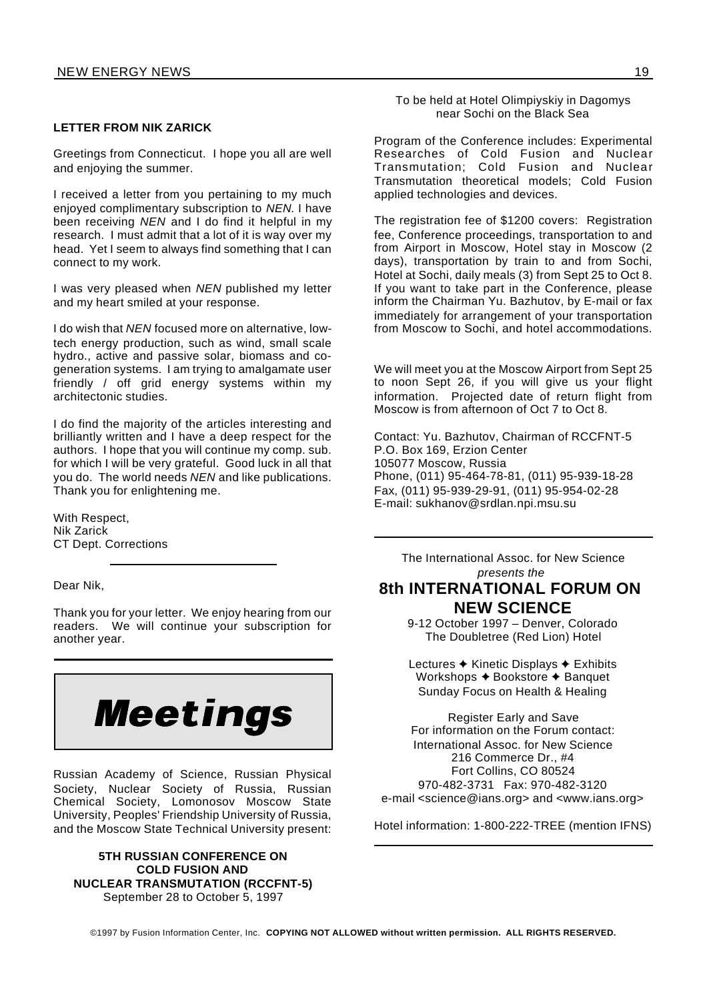#### **LETTER FROM NIK ZARICK**

Greetings from Connecticut. I hope you all are well and enjoying the summer.

I received a letter from you pertaining to my much enjoyed complimentary subscription to *NEN*. I have been receiving *NEN* and I do find it helpful in my research. I must admit that a lot of it is way over my head. Yet I seem to always find something that I can connect to my work.

I was very pleased when *NEN* published my letter and my heart smiled at your response.

I do wish that *NEN* focused more on alternative, lowtech energy production, such as wind, small scale hydro., active and passive solar, biomass and cogeneration systems. I am trying to amalgamate user friendly / off grid energy systems within my architectonic studies.

I do find the majority of the articles interesting and brilliantly written and I have a deep respect for the authors. I hope that you will continue my comp. sub. for which I will be very grateful. Good luck in all that you do. The world needs *NEN* and like publications. Thank you for enlightening me.

With Respect, Nik Zarick CT Dept. Corrections

Dear Nik,

Thank you for your letter. We enjoy hearing from our readers. We will continue your subscription for another year.



Russian Academy of Science, Russian Physical Society, Nuclear Society of Russia, Russian Chemical Society, Lomonosov Moscow State University, Peoples' Friendship University of Russia, and the Moscow State Technical University present:

#### **5TH RUSSIAN CONFERENCE ON COLD FUSION AND NUCLEAR TRANSMUTATION (RCCFNT-5)** September 28 to October 5, 1997

To be held at Hotel Olimpiyskiy in Dagomys near Sochi on the Black Sea

Program of the Conference includes: Experimental Researches of Cold Fusion and Nuclear Transmutation; Cold Fusion and Nuclear Transmutation theoretical models; Cold Fusion applied technologies and devices.

The registration fee of \$1200 covers: Registration fee, Conference proceedings, transportation to and from Airport in Moscow, Hotel stay in Moscow (2 days), transportation by train to and from Sochi, Hotel at Sochi, daily meals (3) from Sept 25 to Oct 8. If you want to take part in the Conference, please inform the Chairman Yu. Bazhutov, by E-mail or fax immediately for arrangement of your transportation from Moscow to Sochi, and hotel accommodations.

We will meet you at the Moscow Airport from Sept 25 to noon Sept 26, if you will give us your flight information. Projected date of return flight from Moscow is from afternoon of Oct 7 to Oct 8.

Contact: Yu. Bazhutov, Chairman of RCCFNT-5 P.O. Box 169, Erzion Center 105077 Moscow, Russia Phone, (011) 95-464-78-81, (011) 95-939-18-28 Fax, (011) 95-939-29-91, (011) 95-954-02-28 E-mail: sukhanov@srdlan.npi.msu.su

The International Assoc. for New Science *presents the*

### **8th INTERNATIONAL FORUM ON NEW SCIENCE**

9-12 October 1997 – Denver, Colorado The Doubletree (Red Lion) Hotel

Lectures  $\triangle$  Kinetic Displays  $\triangle$  Exhibits Workshops  $\triangle$  Bookstore  $\triangle$  Banquet Sunday Focus on Health & Healing

Register Early and Save For information on the Forum contact: International Assoc. for New Science 216 Commerce Dr., #4 Fort Collins, CO 80524 970-482-3731 Fax: 970-482-3120 e-mail <science@ians.org> and <www.ians.org>

Hotel information: 1-800-222-TREE (mention IFNS)

©1997 by Fusion Information Center, Inc. **COPYING NOT ALLOWED without written permission. ALL RIGHTS RESERVED.**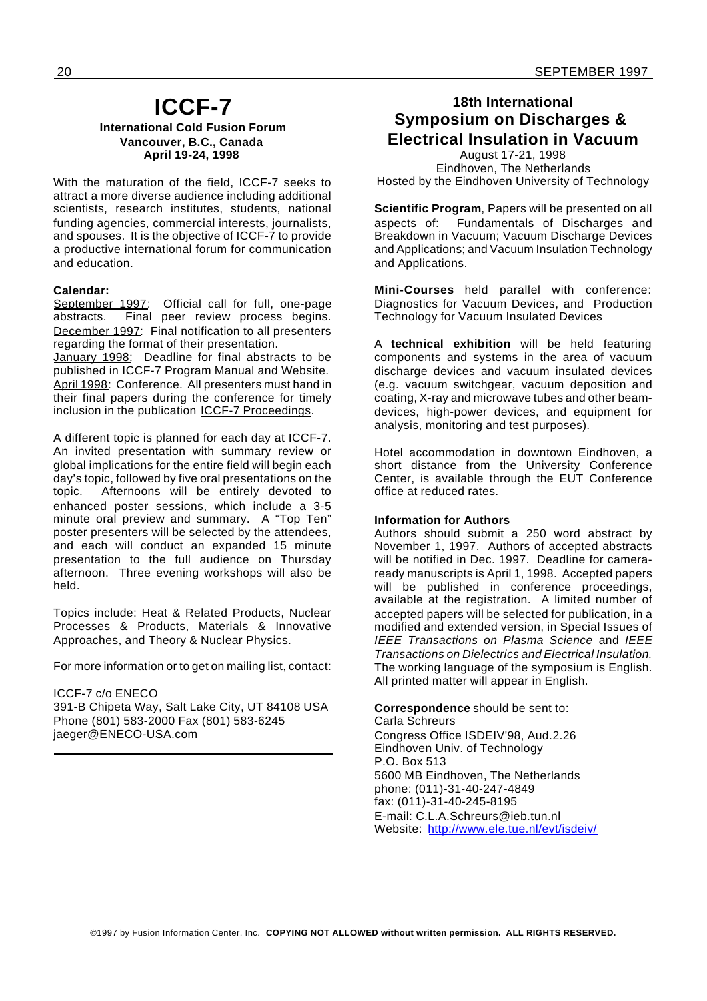#### **ICCF-7 International Cold Fusion Forum Vancouver, B.C., Canada April 19-24, 1998**

With the maturation of the field, ICCF-7 seeks to attract a more diverse audience including additional scientists, research institutes, students, national funding agencies, commercial interests, journalists, and spouses. It is the objective of ICCF-7 to provide a productive international forum for communication and education.

#### **Calendar:**

September 1997: Official call for full, one-page abstracts. Final peer review process begins. December 1997: Final notification to all presenters regarding the format of their presentation.

January 1998: Deadline for final abstracts to be published in ICCF-7 Program Manual and Website. April 1998: Conference. All presenters must hand in their final papers during the conference for timely inclusion in the publication ICCF-7 Proceedings.

A different topic is planned for each day at ICCF-7. An invited presentation with summary review or global implications for the entire field will begin each day's topic, followed by five oral presentations on the topic. Afternoons will be entirely devoted to enhanced poster sessions, which include a 3-5 minute oral preview and summary. A "Top Ten" poster presenters will be selected by the attendees, and each will conduct an expanded 15 minute presentation to the full audience on Thursday afternoon. Three evening workshops will also be held.

Topics include: Heat & Related Products, Nuclear Processes & Products, Materials & Innovative Approaches, and Theory & Nuclear Physics.

For more information or to get on mailing list, contact:

#### ICCF-7 c/o ENECO

391-B Chipeta Way, Salt Lake City, UT 84108 USA Phone (801) 583-2000 Fax (801) 583-6245 jaeger@ENECO-USA.com

### **18th International Symposium on Discharges & Electrical Insulation in Vacuum**

August 17-21, 1998 Eindhoven, The Netherlands Hosted by the Eindhoven University of Technology

**Scientific Program**, Papers will be presented on all aspects of: Fundamentals of Discharges and Breakdown in Vacuum; Vacuum Discharge Devices and Applications; and Vacuum Insulation Technology and Applications.

**Mini-Courses** held parallel with conference: Diagnostics for Vacuum Devices, and Production Technology for Vacuum Insulated Devices

A **technical exhibition** will be held featuring components and systems in the area of vacuum discharge devices and vacuum insulated devices (e.g. vacuum switchgear, vacuum deposition and coating, X-ray and microwave tubes and other beamdevices, high-power devices, and equipment for analysis, monitoring and test purposes).

Hotel accommodation in downtown Eindhoven, a short distance from the University Conference Center, is available through the EUT Conference office at reduced rates.

#### **Information for Authors**

Authors should submit a 250 word abstract by November 1, 1997. Authors of accepted abstracts will be notified in Dec. 1997. Deadline for cameraready manuscripts is April 1, 1998. Accepted papers will be published in conference proceedings, available at the registration. A limited number of accepted papers will be selected for publication, in a modified and extended version, in Special Issues of *IEEE Transactions on Plasma Science* and *IEEE Transactions on Dielectrics and Electrical Insulation.* The working language of the symposium is English. All printed matter will appear in English.

**Correspondence** should be sent to: Carla Schreurs Congress Office ISDEIV'98, Aud.2.26 Eindhoven Univ. of Technology P.O. Box 513 5600 MB Eindhoven, The Netherlands phone: (011)-31-40-247-4849 fax: (011)-31-40-245-8195 E-mail: C.L.A.Schreurs@ieb.tun.nl Website: http://www.ele.tue.nl/evt/isdeiv/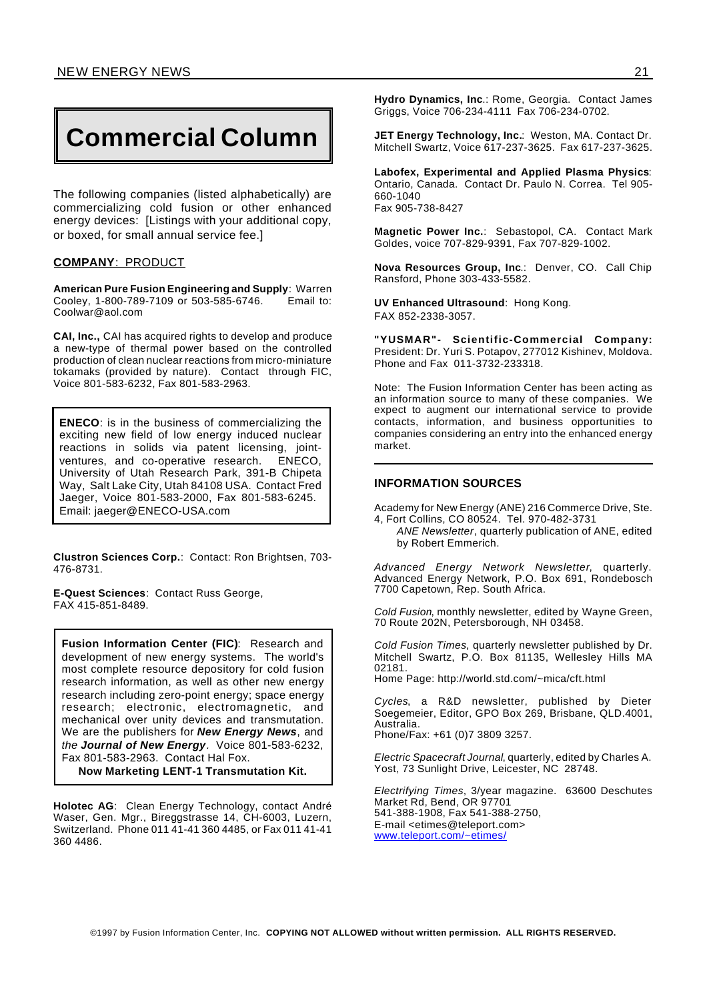## **Commercial Column**

The following companies (listed alphabetically) are commercializing cold fusion or other enhanced energy devices: [Listings with your additional copy, or boxed, for small annual service fee.]

#### **COMPANY**: PRODUCT

**American Pure Fusion Engineering and Supply**: Warren Cooley, 1-800-789-7109 or 503-585-6746. Email to: Coolwar@aol.com

**CAI, Inc.,** CAI has acquired rights to develop and produce a new-type of thermal power based on the controlled production of clean nuclear reactions from micro-miniature tokamaks (provided by nature). Contact through FIC, Voice 801-583-6232, Fax 801-583-2963.

**ENECO**: is in the business of commercializing the exciting new field of low energy induced nuclear reactions in solids via patent licensing, jointventures, and co-operative research. ENECO, University of Utah Research Park, 391-B Chipeta Way, Salt Lake City, Utah 84108 USA. Contact Fred Jaeger, Voice 801-583-2000, Fax 801-583-6245. Email: jaeger@ENECO-USA.com

**Clustron Sciences Corp.**: Contact: Ron Brightsen, 703- 476-8731.

**E-Quest Sciences**: Contact Russ George, FAX 415-851-8489.

**Fusion Information Center (FIC)**: Research and development of new energy systems. The world's most complete resource depository for cold fusion research information, as well as other new energy research including zero-point energy; space energy research; electronic, electromagnetic, and mechanical over unity devices and transmutation. We are the publishers for *New Energy News*, and *the Journal of New Energy.* Voice 801-583-6232, Fax 801-583-2963. Contact Hal Fox.

**Now Marketing LENT-1 Transmutation Kit.**

**Holotec AG**: Clean Energy Technology, contact André Waser, Gen. Mgr., Bireggstrasse 14, CH-6003, Luzern, Switzerland. Phone 011 41-41 360 4485, or Fax 011 41-41 360 4486.

**Hydro Dynamics, Inc**.: Rome, Georgia. Contact James Griggs, Voice 706-234-4111 Fax 706-234-0702.

**JET Energy Technology, Inc.**: Weston, MA. Contact Dr. Mitchell Swartz, Voice 617-237-3625. Fax 617-237-3625.

**Labofex, Experimental and Applied Plasma Physics**: Ontario, Canada. Contact Dr. Paulo N. Correa. Tel 905- 660-1040 Fax 905-738-8427

**Magnetic Power Inc.**: Sebastopol, CA. Contact Mark Goldes, voice 707-829-9391, Fax 707-829-1002.

**Nova Resources Group, Inc**.: Denver, CO. Call Chip Ransford, Phone 303-433-5582.

**UV Enhanced Ultrasound**: Hong Kong. FAX 852-2338-3057.

**"YUSMAR"- Scientific-Commercial Company:** President: Dr. Yuri S. Potapov, 277012 Kishinev, Moldova. Phone and Fax 011-3732-233318.

Note: The Fusion Information Center has been acting as an information source to many of these companies. We expect to augment our international service to provide contacts, information, and business opportunities to companies considering an entry into the enhanced energy market.

#### **INFORMATION SOURCES**

Academy for New Energy (ANE) 216 Commerce Drive, Ste. 4, Fort Collins, CO 80524. Tel. 970-482-3731

*ANE Newsletter*, quarterly publication of ANE, edited by Robert Emmerich.

*Advanced Energy Network Newsletter*, quarterly. Advanced Energy Network, P.O. Box 691, Rondebosch 7700 Capetown, Rep. South Africa.

*Cold Fusion*, monthly newsletter, edited by Wayne Green, 70 Route 202N, Petersborough, NH 03458.

*Cold Fusion Times,* quarterly newsletter published by Dr. Mitchell Swartz, P.O. Box 81135, Wellesley Hills MA 02181.

Home Page: http://world.std.com/~mica/cft.html

*Cycles*, a R&D newsletter, published by Dieter Soegemeier, Editor, GPO Box 269, Brisbane, QLD.4001, Australia. Phone/Fax: +61 (0)7 3809 3257.

*Electric Spacecraft Journal*, quarterly, edited by Charles A. Yost, 73 Sunlight Drive, Leicester, NC 28748.

*Electrifying Times*, 3/year magazine. 63600 Deschutes Market Rd, Bend, OR 97701 541-388-1908, Fax 541-388-2750, E-mail <etimes@teleport.com> www.teleport.com/~etimes/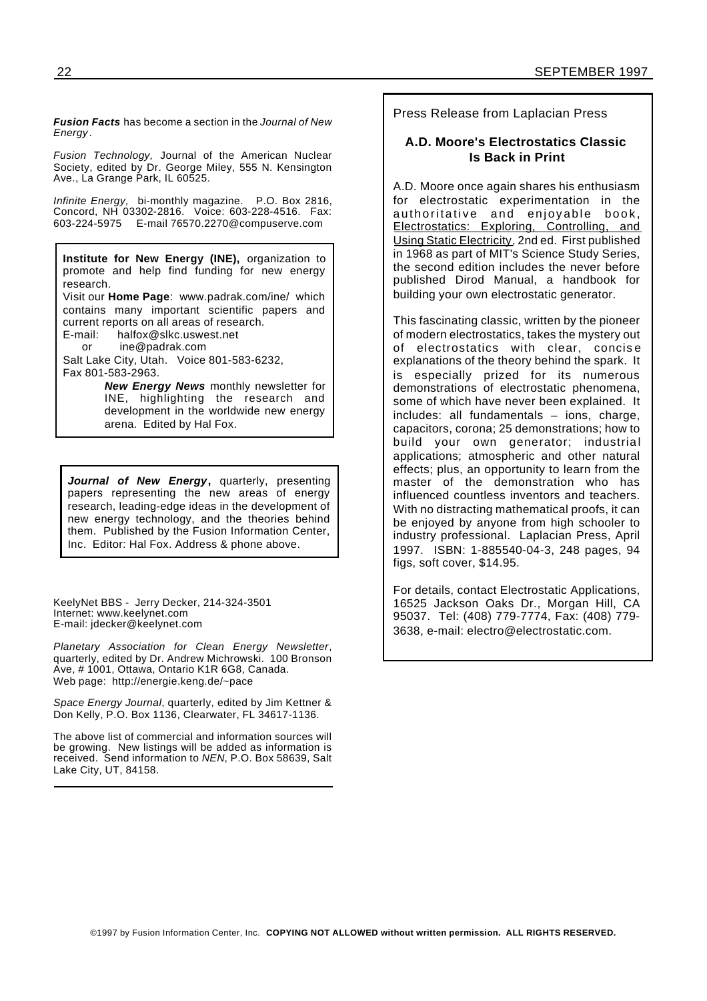*Fusion Facts* has become a section in the *Journal of New Energy*.

*Fusion Technology,* Journal of the American Nuclear Society, edited by Dr. George Miley, 555 N. Kensington Ave., La Grange Park, IL 60525.

*Infinite Energy,* bi-monthly magazine. P.O. Box 2816, Concord, NH 03302-2816. Voice: 603-228-4516. Fax: 603-224-5975 E-mail 76570.2270@compuserve.com

**Institute for New Energy (INE),** organization to promote and help find funding for new energy research. Visit our **Home Page**: www.padrak.com/ine/ which contains many important scientific papers and current reports on all areas of research. E-mail: halfox@slkc.uswest.net

or ine@padrak.com

Salt Lake City, Utah. Voice 801-583-6232, Fax 801-583-2963.

> *New Energy News* monthly newsletter for INE, highlighting the research and development in the worldwide new energy arena. Edited by Hal Fox.

*Journal of New Energy***,** quarterly, presenting papers representing the new areas of energy research, leading-edge ideas in the development of new energy technology, and the theories behind them. Published by the Fusion Information Center, Inc. Editor: Hal Fox. Address & phone above.

KeelyNet BBS - Jerry Decker, 214-324-3501 Internet: www.keelynet.com E-mail: jdecker@keelynet.com

*Planetary Association for Clean Energy Newsletter*, quarterly, edited by Dr. Andrew Michrowski. 100 Bronson Ave, # 1001, Ottawa, Ontario K1R 6G8, Canada. Web page: http://energie.keng.de/~pace

*Space Energy Journal*, quarterly, edited by Jim Kettner & Don Kelly, P.O. Box 1136, Clearwater, FL 34617-1136.

The above list of commercial and information sources will be growing. New listings will be added as information is received. Send information to *NEN*, P.O. Box 58639, Salt Lake City, UT, 84158.

Press Release from Laplacian Press

#### **A.D. Moore's Electrostatics Classic Is Back in Print**

A.D. Moore once again shares his enthusiasm for electrostatic experimentation in the authoritative and enjoyable book, Electrostatics: Exploring, Controlling, and Using Static Electricity, 2nd ed. First published in 1968 as part of MIT's Science Study Series, the second edition includes the never before published Dirod Manual, a handbook for building your own electrostatic generator.

This fascinating classic, written by the pioneer of modern electrostatics, takes the mystery out of electrostatics with clear, concise explanations of the theory behind the spark. It is especially prized for its numerous demonstrations of electrostatic phenomena, some of which have never been explained. It includes: all fundamentals – ions, charge, capacitors, corona; 25 demonstrations; how to build your own generator; industrial applications; atmospheric and other natural effects; plus, an opportunity to learn from the master of the demonstration who has influenced countless inventors and teachers. With no distracting mathematical proofs, it can be enjoyed by anyone from high schooler to industry professional. Laplacian Press, April 1997. ISBN: 1-885540-04-3, 248 pages, 94 figs, soft cover, \$14.95.

For details, contact Electrostatic Applications, 16525 Jackson Oaks Dr., Morgan Hill, CA 95037. Tel: (408) 779-7774, Fax: (408) 779- 3638, e-mail: electro@electrostatic.com.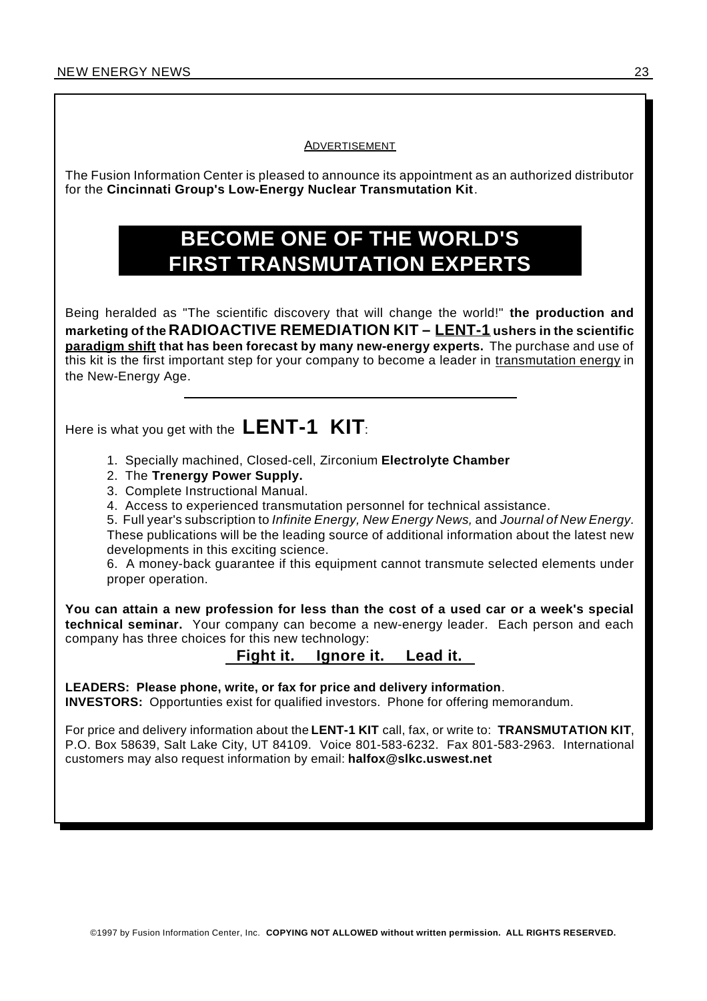#### ADVERTISEMENT

The Fusion Information Center is pleased to announce its appointment as an authorized distributor for the **Cincinnati Group's Low-Energy Nuclear Transmutation Kit**.

## **BECOME ONE OF THE WORLD'S FIRST TRANSMUTATION EXPERTS**

Being heralded as "The scientific discovery that will change the world!" **the production and marketing of the RADIOACTIVE REMEDIATION KIT – LENT-1 ushers in the scientific paradigm shift that has been forecast by many new-energy experts.** The purchase and use of this kit is the first important step for your company to become a leader in transmutation energy in the New-Energy Age.

Here is what you get with the **LENT-1 KIT**:

- 1. Specially machined, Closed-cell, Zirconium **Electrolyte Chamber**
- 2. The **Trenergy Power Supply.**
- 3. Complete Instructional Manual.
- 4. Access to experienced transmutation personnel for technical assistance.

5. Full year's subscription to *Infinite Energy, New Energy News,* and *Journal of New Energy.* These publications will be the leading source of additional information about the latest new developments in this exciting science.

6. A money-back guarantee if this equipment cannot transmute selected elements under proper operation.

**You can attain a new profession for less than the cost of a used car or a week's special technical seminar.** Your company can become a new-energy leader. Each person and each company has three choices for this new technology:

#### **Fight it. Ignore it. Lead it.**

**LEADERS: Please phone, write, or fax for price and delivery information**. **INVESTORS:** Opportunties exist for qualified investors. Phone for offering memorandum.

customers may also request information by email: **halfox@slkc.uswest.net**

For price and delivery information about the **LENT-1 KIT** call, fax, or write to: **TRANSMUTATION KIT**, P.O. Box 58639, Salt Lake City, UT 84109. Voice 801-583-6232. Fax 801-583-2963. International